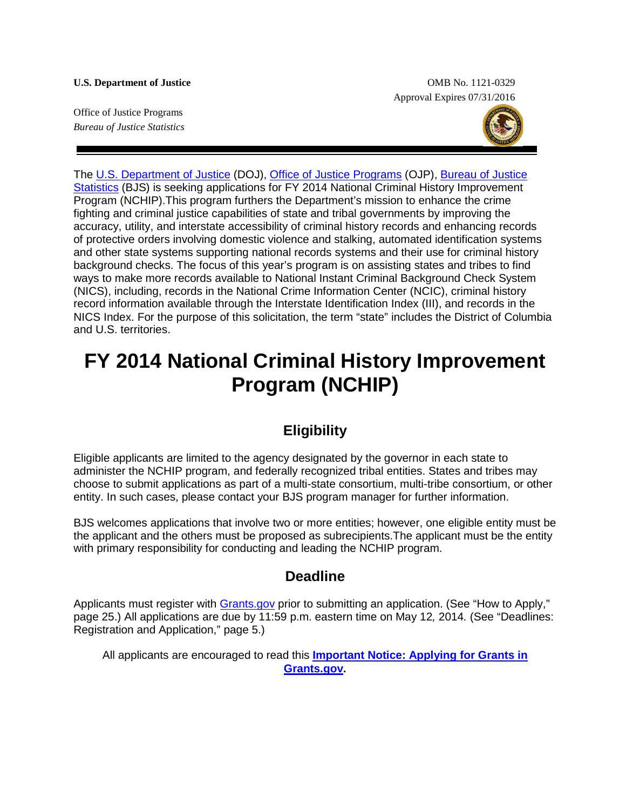Office of Justice Programs *Bureau of Justice Statistics*

**U.S. Department of Justice** OMB No. 1121-0329 Approval Expires 07/31/2016



The [U.S. Department of Justice](http://www.usdoj.gov/) (DOJ), [Office of Justice Programs](http://www.ojp.usdoj.gov/) (OJP), [Bureau of Justice](http://www.bjs.gov/)  [Statistics](http://www.bjs.gov/) (BJS) is seeking applications for FY 2014 National Criminal History Improvement Program (NCHIP).This program furthers the Department's mission to enhance the crime fighting and criminal justice capabilities of state and tribal governments by improving the accuracy, utility, and interstate accessibility of criminal history records and enhancing records of protective orders involving domestic violence and stalking, automated identification systems and other state systems supporting national records systems and their use for criminal history background checks. The focus of this year's program is on assisting states and tribes to find ways to make more records available to National Instant Criminal Background Check System (NICS), including, records in the National Crime Information Center (NCIC), criminal history record information available through the Interstate Identification Index (III), and records in the NICS Index. For the purpose of this solicitation, the term "state" includes the District of Columbia and U.S. territories.

# **FY 2014 National Criminal History Improvement Program (NCHIP)**

### **Eligibility**

Eligible applicants are limited to the agency designated by the governor in each state to administer the NCHIP program, and federally recognized tribal entities. States and tribes may choose to submit applications as part of a multi-state consortium, multi-tribe consortium, or other entity. In such cases, please contact your BJS program manager for further information.

BJS welcomes applications that involve two or more entities; however, one eligible entity must be the applicant and the others must be proposed as subrecipients.The applicant must be the entity with primary responsibility for conducting and leading the NCHIP program.

### **Deadline**

Applicants must register with [Grants.gov](http://www.grants.gov/applicants/apply_for_grants.jsp) prior to submitting an application. (See "How to Apply," page 25.) All applications are due by 11:59 p.m. eastern time on May 12*,* 2014*.* (See "Deadlines: Registration and Application," page 5.)

All applicants are encouraged to read this **[Important Notice: Applying for Grants in](http://www.ojp.usdoj.gov/funding/grantsgov_information.htm)  [Grants.gov.](http://www.ojp.usdoj.gov/funding/grantsgov_information.htm)**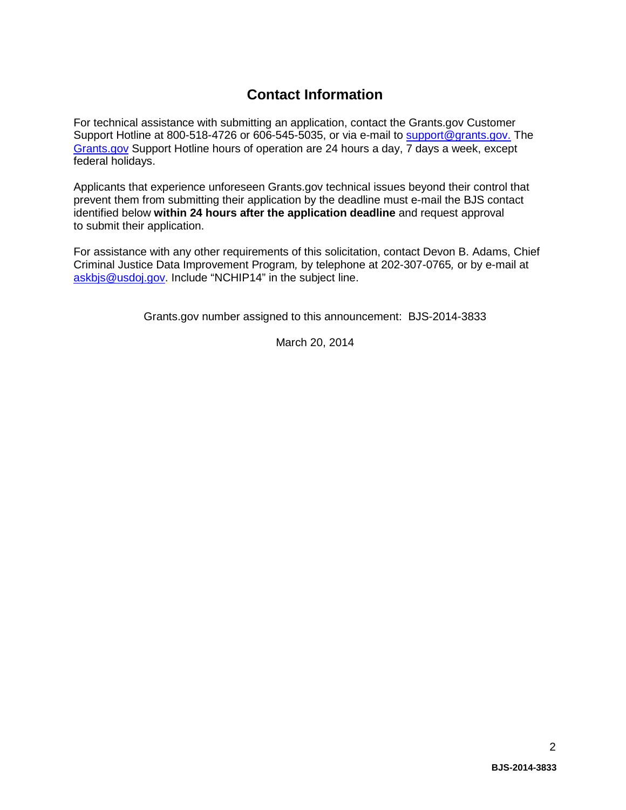### **Contact Information**

For technical assistance with submitting an application, contact the Grants.gov Customer Support Hotline at 800-518-4726 or 606-545-5035, or via e-mail to [support@grants.gov.](mailto:support@grants.gov) The [Grants.gov](http://www.grants.gov/applicants/apply_for_grants.jsp) Support Hotline hours of operation are 24 hours a day, 7 days a week, except federal holidays.

Applicants that experience unforeseen Grants.gov technical issues beyond their control that prevent them from submitting their application by the deadline must e-mail the BJS contact identified below **within 24 hours after the application deadline** and request approval to submit their application.

For assistance with any other requirements of this solicitation, contact Devon B. Adams, Chief Criminal Justice Data Improvement Program*,* by telephone at 202-307-0765*,* or by e-mail at [askbjs@usdoj.gov.](mailto:askbjs@usdoj.gov?subject=NCHIP14) Include "NCHIP14" in the subject line.

Grants.gov number assigned to this announcement: BJS-2014-3833

March 20, 2014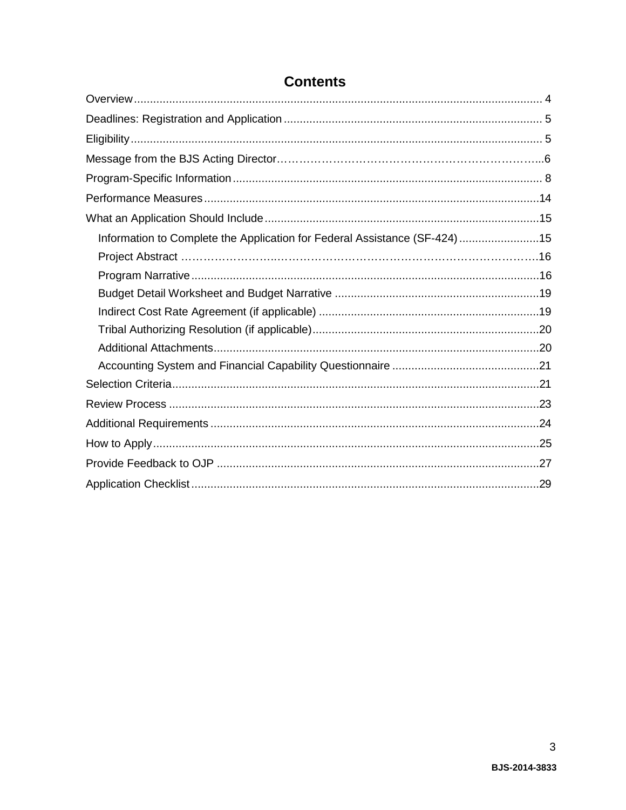| Information to Complete the Application for Federal Assistance (SF-424) 15 |  |
|----------------------------------------------------------------------------|--|
|                                                                            |  |
|                                                                            |  |
|                                                                            |  |
|                                                                            |  |
|                                                                            |  |
|                                                                            |  |
|                                                                            |  |
|                                                                            |  |
|                                                                            |  |
|                                                                            |  |
|                                                                            |  |
|                                                                            |  |
|                                                                            |  |

### **Contents**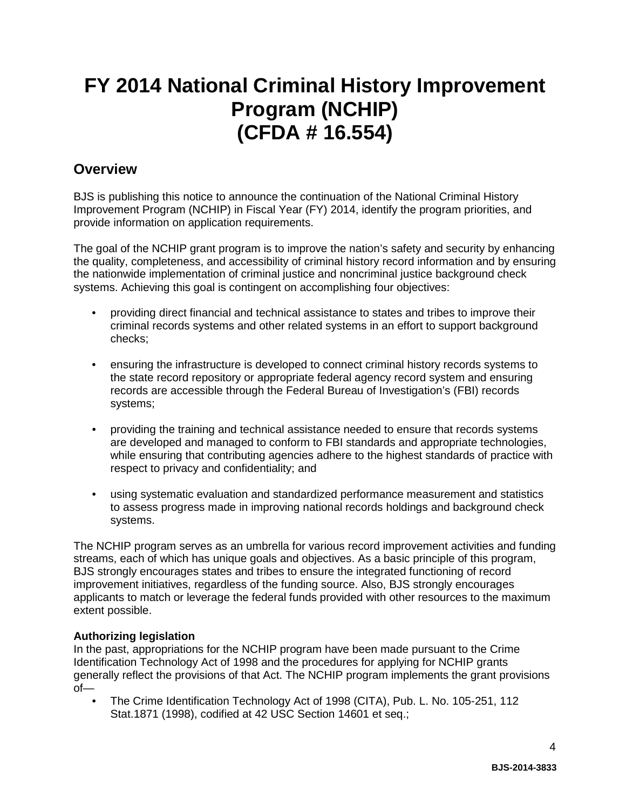# **FY 2014 National Criminal History Improvement Program (NCHIP) (CFDA # 16.554)**

### <span id="page-3-0"></span>**Overview**

BJS is publishing this notice to announce the continuation of the National Criminal History Improvement Program (NCHIP) in Fiscal Year (FY) 2014, identify the program priorities, and provide information on application requirements.

The goal of the NCHIP grant program is to improve the nation's safety and security by enhancing the quality, completeness, and accessibility of criminal history record information and by ensuring the nationwide implementation of criminal justice and noncriminal justice background check systems. Achieving this goal is contingent on accomplishing four objectives:

- providing direct financial and technical assistance to states and tribes to improve their criminal records systems and other related systems in an effort to support background checks;
- ensuring the infrastructure is developed to connect criminal history records systems to the state record repository or appropriate federal agency record system and ensuring records are accessible through the Federal Bureau of Investigation's (FBI) records systems;
- providing the training and technical assistance needed to ensure that records systems are developed and managed to conform to FBI standards and appropriate technologies, while ensuring that contributing agencies adhere to the highest standards of practice with respect to privacy and confidentiality; and
- using systematic evaluation and standardized performance measurement and statistics to assess progress made in improving national records holdings and background check systems.

The NCHIP program serves as an umbrella for various record improvement activities and funding streams, each of which has unique goals and objectives. As a basic principle of this program, BJS strongly encourages states and tribes to ensure the integrated functioning of record improvement initiatives, regardless of the funding source. Also, BJS strongly encourages applicants to match or leverage the federal funds provided with other resources to the maximum extent possible.

#### **Authorizing legislation**

In the past, appropriations for the NCHIP program have been made pursuant to the Crime Identification Technology Act of 1998 and the procedures for applying for NCHIP grants generally reflect the provisions of that Act. The NCHIP program implements the grant provisions of—

• The Crime Identification Technology Act of 1998 (CITA), Pub. L. No. 105-251, 112 Stat.1871 (1998), codified at 42 USC Section 14601 et seq.;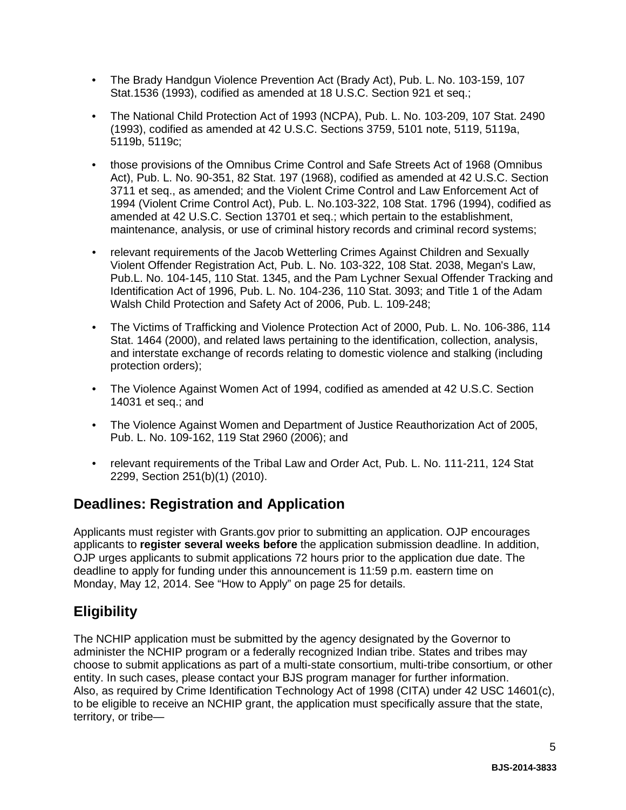- The Brady Handgun Violence Prevention Act (Brady Act), Pub. L. No. 103-159, 107 Stat.1536 (1993), codified as amended at 18 U.S.C. Section 921 et seq.;
- The National Child Protection Act of 1993 (NCPA), Pub. L. No. 103-209, 107 Stat. 2490 (1993), codified as amended at 42 U.S.C. Sections 3759, 5101 note, 5119, 5119a, 5119b, 5119c;
- those provisions of the Omnibus Crime Control and Safe Streets Act of 1968 (Omnibus Act), Pub. L. No. 90-351, 82 Stat. 197 (1968), codified as amended at 42 U.S.C. Section 3711 et seq., as amended; and the Violent Crime Control and Law Enforcement Act of 1994 (Violent Crime Control Act), Pub. L. No.103-322, 108 Stat. 1796 (1994), codified as amended at 42 U.S.C. Section 13701 et seq.; which pertain to the establishment, maintenance, analysis, or use of criminal history records and criminal record systems;
- relevant requirements of the Jacob Wetterling Crimes Against Children and Sexually Violent Offender Registration Act, Pub. L. No. 103-322, 108 Stat. 2038, Megan's Law, Pub.L. No. 104-145, 110 Stat. 1345, and the Pam Lychner Sexual Offender Tracking and Identification Act of 1996, Pub. L. No. 104-236, 110 Stat. 3093; and Title 1 of the Adam Walsh Child Protection and Safety Act of 2006, Pub. L. 109-248;
- The Victims of Trafficking and Violence Protection Act of 2000, Pub. L. No. 106-386, 114 Stat. 1464 (2000), and related laws pertaining to the identification, collection, analysis, and interstate exchange of records relating to domestic violence and stalking (including protection orders);
- The Violence Against Women Act of 1994, codified as amended at 42 U.S.C. Section 14031 et seq.; and
- The Violence Against Women and Department of Justice Reauthorization Act of 2005, Pub. L. No. 109-162, 119 Stat 2960 (2006); and
- relevant requirements of the Tribal Law and Order Act, Pub. L. No. 111-211, 124 Stat 2299, Section 251(b)(1) (2010).

### <span id="page-4-0"></span>**Deadlines: Registration and Application**

Applicants must register with Grants.gov prior to submitting an application. OJP encourages applicants to **register several weeks before** the application submission deadline. In addition, OJP urges applicants to submit applications 72 hours prior to the application due date. The deadline to apply for funding under this announcement is 11:59 p.m. eastern time on Monday, May 12, 2014. See "How to Apply" on page 25 for details.

## <span id="page-4-1"></span>**Eligibility**

The NCHIP application must be submitted by the agency designated by the Governor to administer the NCHIP program or a federally recognized Indian tribe. States and tribes may choose to submit applications as part of a multi-state consortium, multi-tribe consortium, or other entity. In such cases, please contact your BJS program manager for further information. Also, as required by Crime Identification Technology Act of 1998 (CITA) under 42 USC 14601(c), to be eligible to receive an NCHIP grant, the application must specifically assure that the state, territory, or tribe—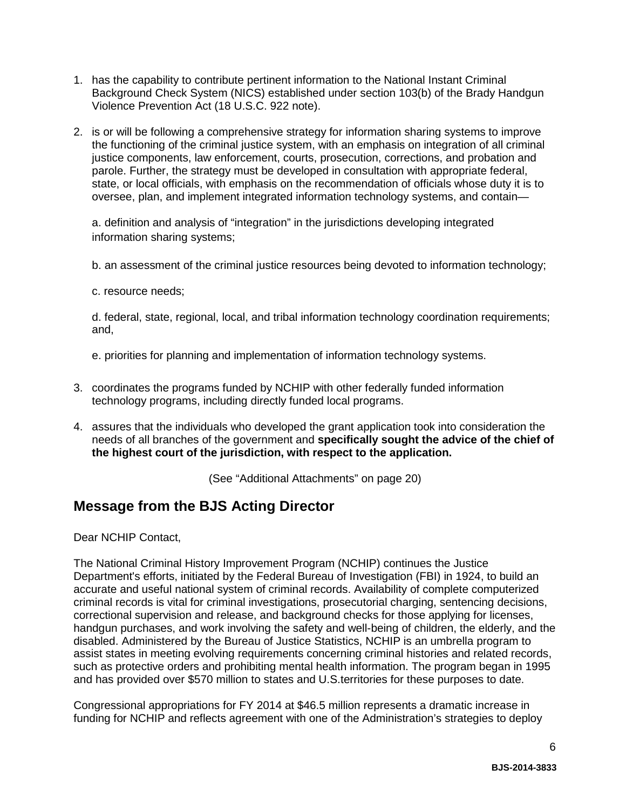- 1. has the capability to contribute pertinent information to the National Instant Criminal Background Check System (NICS) established under section 103(b) of the Brady Handgun Violence Prevention Act (18 U.S.C. 922 note).
- 2. is or will be following a comprehensive strategy for information sharing systems to improve the functioning of the criminal justice system, with an emphasis on integration of all criminal justice components, law enforcement, courts, prosecution, corrections, and probation and parole. Further, the strategy must be developed in consultation with appropriate federal, state, or local officials, with emphasis on the recommendation of officials whose duty it is to oversee, plan, and implement integrated information technology systems, and contain—

a. definition and analysis of "integration" in the jurisdictions developing integrated information sharing systems;

b. an assessment of the criminal justice resources being devoted to information technology;

c. resource needs;

d. federal, state, regional, local, and tribal information technology coordination requirements; and,

e. priorities for planning and implementation of information technology systems.

- 3. coordinates the programs funded by NCHIP with other federally funded information technology programs, including directly funded local programs.
- 4. assures that the individuals who developed the grant application took into consideration the needs of all branches of the government and **specifically sought the advice of the chief of the highest court of the jurisdiction, with respect to the application.**

(See "Additional Attachments" on page 20)

### <span id="page-5-0"></span>**Message from the BJS Acting Director**

Dear NCHIP Contact,

The National Criminal History Improvement Program (NCHIP) continues the Justice Department's efforts, initiated by the Federal Bureau of Investigation (FBI) in 1924, to build an accurate and useful national system of criminal records. Availability of complete computerized criminal records is vital for criminal investigations, prosecutorial charging, sentencing decisions, correctional supervision and release, and background checks for those applying for licenses, handgun purchases, and work involving the safety and well-being of children, the elderly, and the disabled. Administered by the Bureau of Justice Statistics, NCHIP is an umbrella program to assist states in meeting evolving requirements concerning criminal histories and related records, such as protective orders and prohibiting mental health information. The program began in 1995 and has provided over \$570 million to states and U.S.territories for these purposes to date.

Congressional appropriations for FY 2014 at \$46.5 million represents a dramatic increase in funding for NCHIP and reflects agreement with one of the Administration's strategies to deploy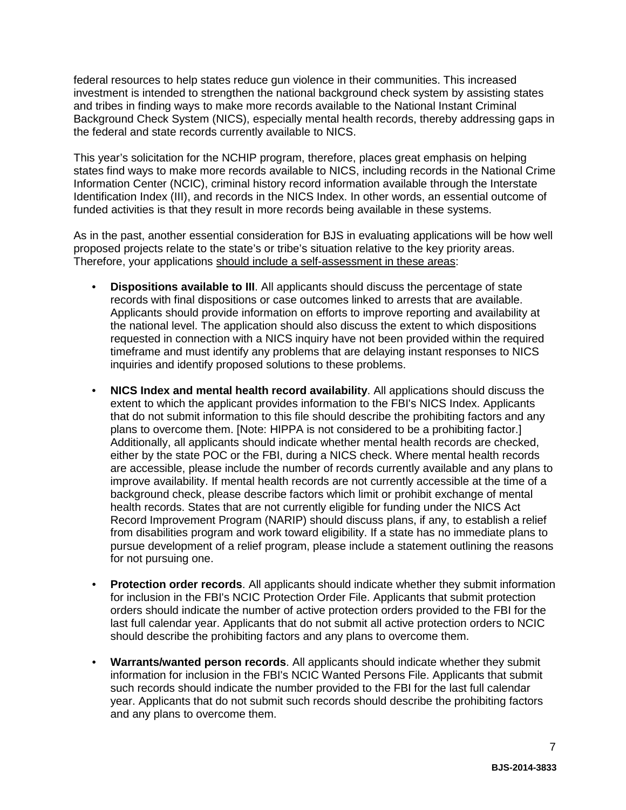federal resources to help states reduce gun violence in their communities. This increased investment is intended to strengthen the national background check system by assisting states and tribes in finding ways to make more records available to the National Instant Criminal Background Check System (NICS), especially mental health records, thereby addressing gaps in the federal and state records currently available to NICS.

This year's solicitation for the NCHIP program, therefore, places great emphasis on helping states find ways to make more records available to NICS, including records in the National Crime Information Center (NCIC), criminal history record information available through the Interstate Identification Index (III), and records in the NICS Index. In other words, an essential outcome of funded activities is that they result in more records being available in these systems.

As in the past, another essential consideration for BJS in evaluating applications will be how well proposed projects relate to the state's or tribe's situation relative to the key priority areas. Therefore, your applications should include a self-assessment in these areas:

- **Dispositions available to III**. All applicants should discuss the percentage of state records with final dispositions or case outcomes linked to arrests that are available. Applicants should provide information on efforts to improve reporting and availability at the national level. The application should also discuss the extent to which dispositions requested in connection with a NICS inquiry have not been provided within the required timeframe and must identify any problems that are delaying instant responses to NICS inquiries and identify proposed solutions to these problems.
- **NICS Index and mental health record availability**. All applications should discuss the extent to which the applicant provides information to the FBI's NICS Index. Applicants that do not submit information to this file should describe the prohibiting factors and any plans to overcome them. [Note: HIPPA is not considered to be a prohibiting factor.] Additionally, all applicants should indicate whether mental health records are checked, either by the state POC or the FBI, during a NICS check. Where mental health records are accessible, please include the number of records currently available and any plans to improve availability. If mental health records are not currently accessible at the time of a background check, please describe factors which limit or prohibit exchange of mental health records. States that are not currently eligible for funding under the NICS Act Record Improvement Program (NARIP) should discuss plans, if any, to establish a relief from disabilities program and work toward eligibility. If a state has no immediate plans to pursue development of a relief program, please include a statement outlining the reasons for not pursuing one.
- **Protection order records**. All applicants should indicate whether they submit information for inclusion in the FBI's NCIC Protection Order File. Applicants that submit protection orders should indicate the number of active protection orders provided to the FBI for the last full calendar year. Applicants that do not submit all active protection orders to NCIC should describe the prohibiting factors and any plans to overcome them.
- **Warrants/wanted person records**. All applicants should indicate whether they submit information for inclusion in the FBI's NCIC Wanted Persons File. Applicants that submit such records should indicate the number provided to the FBI for the last full calendar year. Applicants that do not submit such records should describe the prohibiting factors and any plans to overcome them.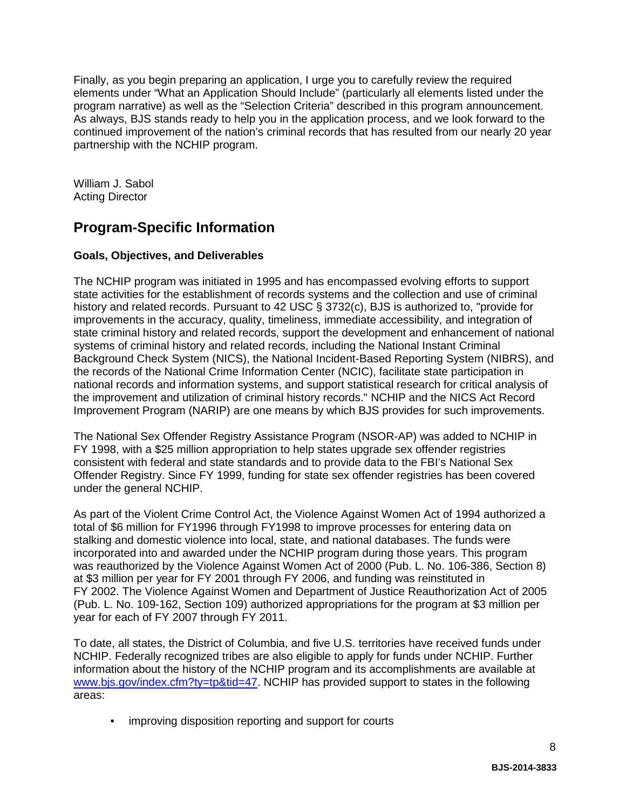Finally, as you begin preparing an application, I urge you to carefully review the required elements under "What an Application Should Include" (particularly all elements listed under the program narrative) as well as the "Selection Criteria" described in this program announcement. As always, BJS stands ready to help you in the application process, and we look forward to the continued improvement of the nation's criminal records that has resulted from our nearly 20 year partnership with the NCHIP program.

William J. Sabol Acting Director

## **Program-Specific Information**

### **Goals, Objectives, and Deliverables**

The NCHIP program was initiated in 1995 and has encompassed evolving efforts to support state activities for the establishment of records systems and the collection and use of criminal history and related records. Pursuant to 42 USC § 3732(c), BJS is authorized to, "provide for improvements in the accuracy, quality, timeliness, immediate accessibility, and integration of state criminal history and related records, support the development and enhancement of national systems of criminal history and related records, including the National Instant Criminal Background Check System (NICS), the National Incident-Based Reporting System (NIBRS), and the records of the National Crime Information Center (NCIC), facilitate state participation in national records and information systems, and support statistical research for critical analysis of the improvement and utilization of criminal history records." NCHIP and the NICS Act Record Improvement Program (NARIP) are one means by which BJS provides for such improvements.

The National Sex Offender Registry Assistance Program (NSOR-AP) was added to NCHIP in FY 1998, with a \$25 million appropriation to help states upgrade sex offender registries consistent with federal and state standards and to provide data to the FBI's National Sex Offender Registry. Since FY 1999, funding for state sex offender registries has been covered under the general NCHIP.

As part of the Violent Crime Control Act, the Violence Against Women Act of 1994 authorized a total of \$6 million for FY1996 through FY1998 to improve processes for entering data on stalking and domestic violence into local, state, and national databases. The funds were incorporated into and awarded under the NCHIP program during those years. This program was reauthorized by the Violence Against Women Act of 2000 (Pub. L. No. 106-386, Section 8) at \$3 million per year for FY 2001 through FY 2006, and funding was reinstituted in FY 2002. The Violence Against Women and Department of Justice Reauthorization Act of 2005 (Pub. L. No. 109-162, Section 109) authorized appropriations for the program at \$3 million per year for each of FY 2007 through FY 2011.

To date, all states, the District of Columbia, and five U.S. territories have received funds under NCHIP. Federally recognized tribes are also eligible to apply for funds under NCHIP. Further information about the history of the NCHIP program and its accomplishments are available at [www.bjs.gov/index.cfm?ty=tp&tid=47.](http://www.bjs.gov/index.cfm?ty=tp&tid=47) NCHIP has provided support to states in the following areas:

• improving disposition reporting and support for courts

8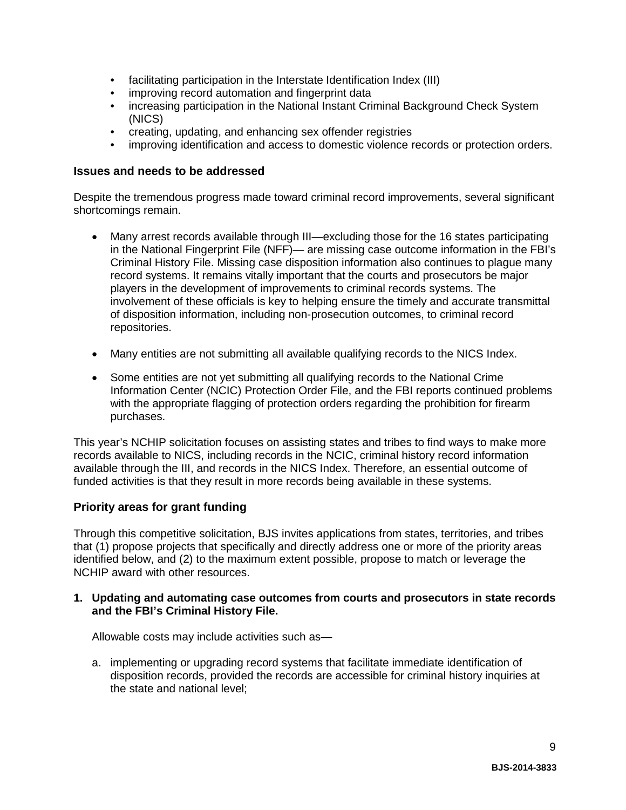- facilitating participation in the Interstate Identification Index (III)
- improving record automation and fingerprint data
- increasing participation in the National Instant Criminal Background Check System (NICS)
- creating, updating, and enhancing sex offender registries
- improving identification and access to domestic violence records or protection orders.

#### **Issues and needs to be addressed**

Despite the tremendous progress made toward criminal record improvements, several significant shortcomings remain.

- Many arrest records available through III—excluding those for the 16 states participating in the National Fingerprint File (NFF)— are missing case outcome information in the FBI's Criminal History File. Missing case disposition information also continues to plague many record systems. It remains vitally important that the courts and prosecutors be major players in the development of improvements to criminal records systems. The involvement of these officials is key to helping ensure the timely and accurate transmittal of disposition information, including non-prosecution outcomes, to criminal record repositories.
- Many entities are not submitting all available qualifying records to the NICS Index.
- Some entities are not yet submitting all qualifying records to the National Crime Information Center (NCIC) Protection Order File, and the FBI reports continued problems with the appropriate flagging of protection orders regarding the prohibition for firearm purchases.

This year's NCHIP solicitation focuses on assisting states and tribes to find ways to make more records available to NICS, including records in the NCIC, criminal history record information available through the III, and records in the NICS Index. Therefore, an essential outcome of funded activities is that they result in more records being available in these systems.

#### **Priority areas for grant funding**

Through this competitive solicitation, BJS invites applications from states, territories, and tribes that (1) propose projects that specifically and directly address one or more of the priority areas identified below, and (2) to the maximum extent possible, propose to match or leverage the NCHIP award with other resources.

#### **1. Updating and automating case outcomes from courts and prosecutors in state records and the FBI's Criminal History File.**

Allowable costs may include activities such as—

a. implementing or upgrading record systems that facilitate immediate identification of disposition records, provided the records are accessible for criminal history inquiries at the state and national level;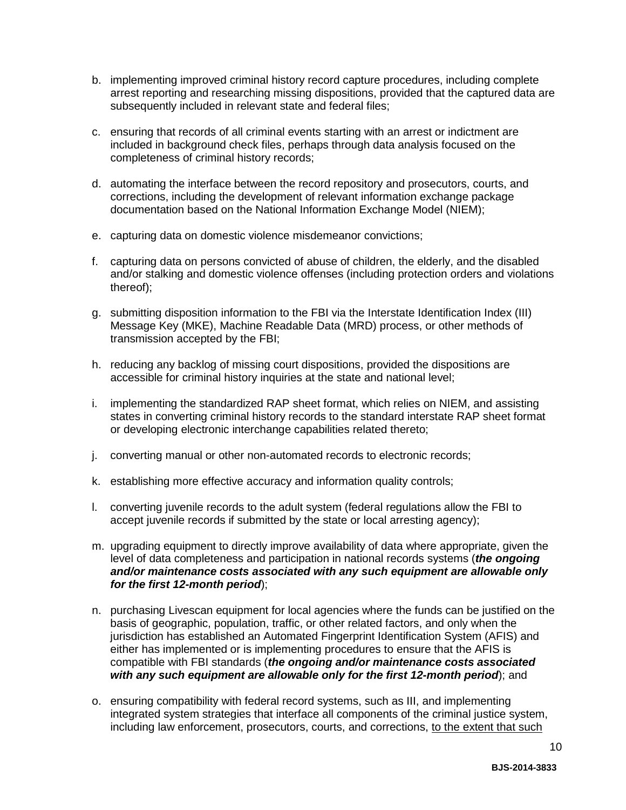- b. implementing improved criminal history record capture procedures, including complete arrest reporting and researching missing dispositions, provided that the captured data are subsequently included in relevant state and federal files;
- c. ensuring that records of all criminal events starting with an arrest or indictment are included in background check files, perhaps through data analysis focused on the completeness of criminal history records;
- d. automating the interface between the record repository and prosecutors, courts, and corrections, including the development of relevant information exchange package documentation based on the National Information Exchange Model (NIEM);
- e. capturing data on domestic violence misdemeanor convictions;
- f. capturing data on persons convicted of abuse of children, the elderly, and the disabled and/or stalking and domestic violence offenses (including protection orders and violations thereof);
- g. submitting disposition information to the FBI via the Interstate Identification Index (III) Message Key (MKE), Machine Readable Data (MRD) process, or other methods of transmission accepted by the FBI;
- h. reducing any backlog of missing court dispositions, provided the dispositions are accessible for criminal history inquiries at the state and national level;
- i. implementing the standardized RAP sheet format, which relies on NIEM, and assisting states in converting criminal history records to the standard interstate RAP sheet format or developing electronic interchange capabilities related thereto;
- j. converting manual or other non-automated records to electronic records;
- k. establishing more effective accuracy and information quality controls;
- l. converting juvenile records to the adult system (federal regulations allow the FBI to accept juvenile records if submitted by the state or local arresting agency);
- m. upgrading equipment to directly improve availability of data where appropriate, given the level of data completeness and participation in national records systems (*the ongoing and/or maintenance costs associated with any such equipment are allowable only for the first 12-month period*);
- n. purchasing Livescan equipment for local agencies where the funds can be justified on the basis of geographic, population, traffic, or other related factors, and only when the jurisdiction has established an Automated Fingerprint Identification System (AFIS) and either has implemented or is implementing procedures to ensure that the AFIS is compatible with FBI standards (*the ongoing and/or maintenance costs associated with any such equipment are allowable only for the first 12-month period*); and
- o. ensuring compatibility with federal record systems, such as III, and implementing integrated system strategies that interface all components of the criminal justice system, including law enforcement, prosecutors, courts, and corrections, to the extent that such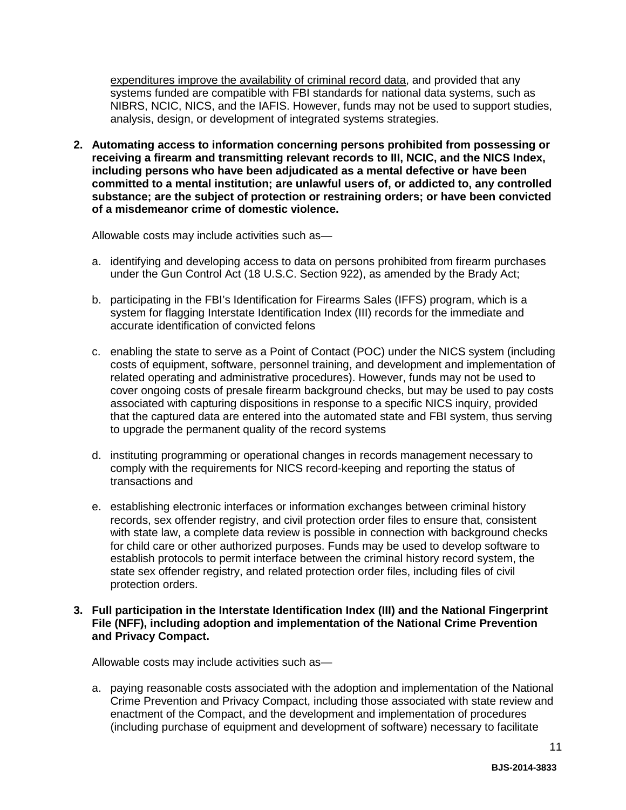expenditures improve the availability of criminal record data, and provided that any systems funded are compatible with FBI standards for national data systems, such as NIBRS, NCIC, NICS, and the IAFIS. However, funds may not be used to support studies, analysis, design, or development of integrated systems strategies.

**2. Automating access to information concerning persons prohibited from possessing or receiving a firearm and transmitting relevant records to III, NCIC, and the NICS Index, including persons who have been adjudicated as a mental defective or have been committed to a mental institution; are unlawful users of, or addicted to, any controlled substance; are the subject of protection or restraining orders; or have been convicted of a misdemeanor crime of domestic violence.**

Allowable costs may include activities such as—

- a. identifying and developing access to data on persons prohibited from firearm purchases under the Gun Control Act (18 U.S.C. Section 922), as amended by the Brady Act;
- b. participating in the FBI's Identification for Firearms Sales (IFFS) program, which is a system for flagging Interstate Identification Index (III) records for the immediate and accurate identification of convicted felons
- c. enabling the state to serve as a Point of Contact (POC) under the NICS system (including costs of equipment, software, personnel training, and development and implementation of related operating and administrative procedures). However, funds may not be used to cover ongoing costs of presale firearm background checks, but may be used to pay costs associated with capturing dispositions in response to a specific NICS inquiry, provided that the captured data are entered into the automated state and FBI system, thus serving to upgrade the permanent quality of the record systems
- d. instituting programming or operational changes in records management necessary to comply with the requirements for NICS record-keeping and reporting the status of transactions and
- e. establishing electronic interfaces or information exchanges between criminal history records, sex offender registry, and civil protection order files to ensure that, consistent with state law, a complete data review is possible in connection with background checks for child care or other authorized purposes. Funds may be used to develop software to establish protocols to permit interface between the criminal history record system, the state sex offender registry, and related protection order files, including files of civil protection orders.

#### **3. Full participation in the Interstate Identification Index (III) and the National Fingerprint File (NFF), including adoption and implementation of the National Crime Prevention and Privacy Compact.**

Allowable costs may include activities such as—

a. paying reasonable costs associated with the adoption and implementation of the National Crime Prevention and Privacy Compact, including those associated with state review and enactment of the Compact, and the development and implementation of procedures (including purchase of equipment and development of software) necessary to facilitate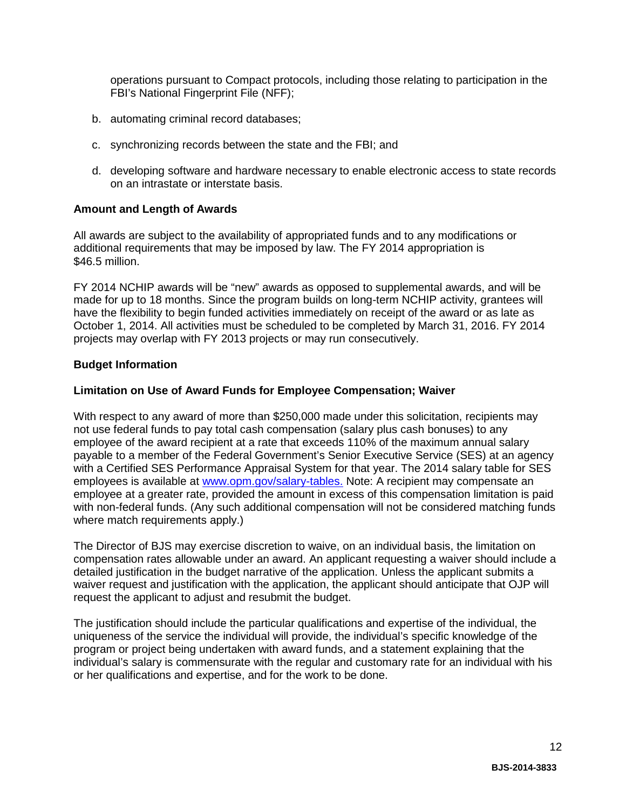operations pursuant to Compact protocols, including those relating to participation in the FBI's National Fingerprint File (NFF);

- b. automating criminal record databases;
- c. synchronizing records between the state and the FBI; and
- d. developing software and hardware necessary to enable electronic access to state records on an intrastate or interstate basis.

#### **Amount and Length of Awards**

All awards are subject to the availability of appropriated funds and to any modifications or additional requirements that may be imposed by law. The FY 2014 appropriation is \$46.5 million.

FY 2014 NCHIP awards will be "new" awards as opposed to supplemental awards, and will be made for up to 18 months. Since the program builds on long-term NCHIP activity, grantees will have the flexibility to begin funded activities immediately on receipt of the award or as late as October 1, 2014. All activities must be scheduled to be completed by March 31, 2016. FY 2014 projects may overlap with FY 2013 projects or may run consecutively.

#### **Budget Information**

#### **Limitation on Use of Award Funds for Employee Compensation; Waiver**

With respect to any award of more than \$250,000 made under this solicitation, recipients may not use federal funds to pay total cash compensation (salary plus cash bonuses) to any employee of the award recipient at a rate that exceeds 110% of the maximum annual salary payable to a member of the Federal Government's Senior Executive Service (SES) at an agency with a Certified SES Performance Appraisal System for that year. The 2014 salary table for SES employees is available at [www.opm.gov/salary-tables.](http://www.opm.gov/policy-data-oversight/pay-leave/salaries-wages/salary-tables/14Tables/exec/html/ES.aspx) Note: A recipient may compensate an employee at a greater rate, provided the amount in excess of this compensation limitation is paid with non-federal funds. (Any such additional compensation will not be considered matching funds where match requirements apply.)

The Director of BJS may exercise discretion to waive, on an individual basis, the limitation on compensation rates allowable under an award. An applicant requesting a waiver should include a detailed justification in the budget narrative of the application. Unless the applicant submits a waiver request and justification with the application, the applicant should anticipate that OJP will request the applicant to adjust and resubmit the budget.

The justification should include the particular qualifications and expertise of the individual, the uniqueness of the service the individual will provide, the individual's specific knowledge of the program or project being undertaken with award funds, and a statement explaining that the individual's salary is commensurate with the regular and customary rate for an individual with his or her qualifications and expertise, and for the work to be done.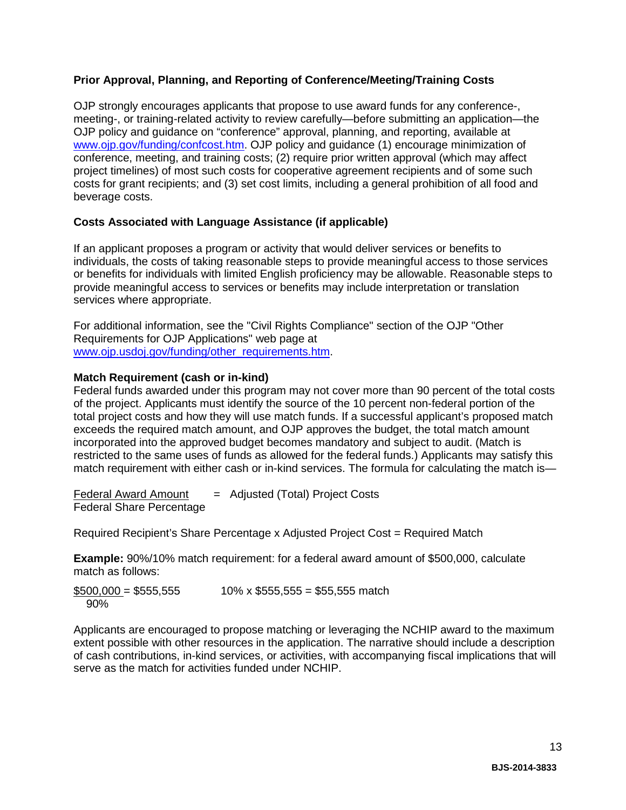#### **Prior Approval, Planning, and Reporting of Conference/Meeting/Training Costs**

OJP strongly encourages applicants that propose to use award funds for any conference-, meeting-, or training-related activity to review carefully—before submitting an application—the OJP policy and guidance on "conference" approval, planning, and reporting, available at [www.ojp.gov/funding/confcost.htm.](http://www.ojp.gov/funding/confcost.htm) OJP policy and guidance (1) encourage minimization of conference, meeting, and training costs; (2) require prior written approval (which may affect project timelines) of most such costs for cooperative agreement recipients and of some such costs for grant recipients; and (3) set cost limits, including a general prohibition of all food and beverage costs.

#### **Costs Associated with Language Assistance (if applicable)**

If an applicant proposes a program or activity that would deliver services or benefits to individuals, the costs of taking reasonable steps to provide meaningful access to those services or benefits for individuals with limited English proficiency may be allowable. Reasonable steps to provide meaningful access to services or benefits may include interpretation or translation services where appropriate.

For additional information, see the "Civil Rights Compliance" section of the OJP "Other Requirements for OJP Applications" web page at [www.ojp.usdoj.gov/funding/other\\_requirements.htm.](http://www.ojp.usdoj.gov/funding/other_requirements.htm)

#### **Match Requirement (cash or in-kind)**

Federal funds awarded under this program may not cover more than 90 percent of the total costs of the project. Applicants must identify the source of the 10 percent non-federal portion of the total project costs and how they will use match funds. If a successful applicant's proposed match exceeds the required match amount, and OJP approves the budget, the total match amount incorporated into the approved budget becomes mandatory and subject to audit. (Match is restricted to the same uses of funds as allowed for the federal funds.) Applicants may satisfy this match requirement with either cash or in-kind services. The formula for calculating the match is—

 $Federal Award Amount = Adjusted (Total) Project Costs$ Federal Share Percentage

Required Recipient's Share Percentage x Adjusted Project Cost = Required Match

**Example:** 90%/10% match requirement: for a federal award amount of \$500,000, calculate match as follows:

 $$500,000 = $555,555$  10% x \$555,555 = \$55,555 match 90%

Applicants are encouraged to propose matching or leveraging the NCHIP award to the maximum extent possible with other resources in the application. The narrative should include a description of cash contributions, in-kind services, or activities, with accompanying fiscal implications that will serve as the match for activities funded under NCHIP.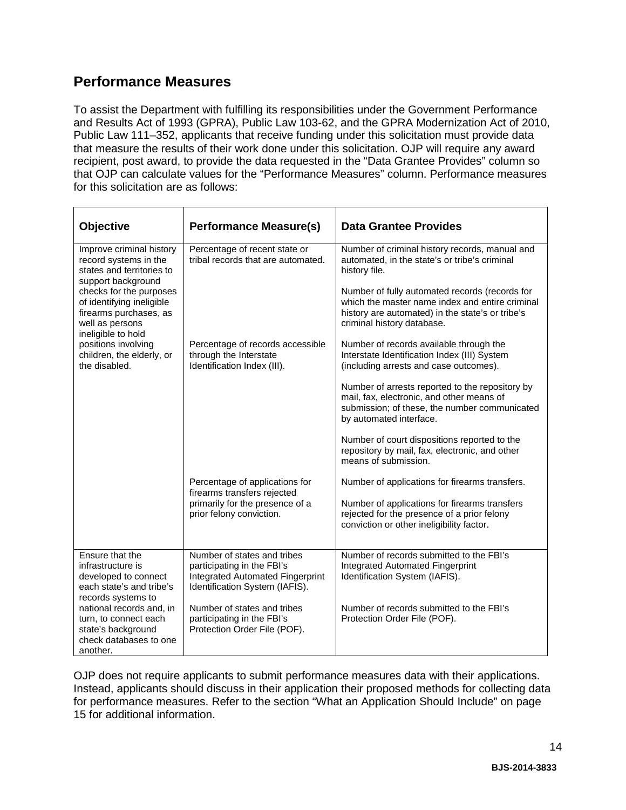### **Performance Measures**

To assist the Department with fulfilling its responsibilities under the Government Performance and Results Act of 1993 (GPRA), Public Law 103-62, and the GPRA Modernization Act of 2010, Public Law 111–352, applicants that receive funding under this solicitation must provide data that measure the results of their work done under this solicitation. OJP will require any award recipient, post award, to provide the data requested in the "Data Grantee Provides" column so that OJP can calculate values for the "Performance Measures" column. Performance measures for this solicitation are as follows:

| <b>Objective</b>                                                                                                                                                                                                                | <b>Performance Measure(s)</b>                                                                                                          | <b>Data Grantee Provides</b>                                                                                                                                                        |
|---------------------------------------------------------------------------------------------------------------------------------------------------------------------------------------------------------------------------------|----------------------------------------------------------------------------------------------------------------------------------------|-------------------------------------------------------------------------------------------------------------------------------------------------------------------------------------|
| Improve criminal history<br>record systems in the<br>states and territories to<br>support background<br>checks for the purposes<br>of identifying ineligible<br>firearms purchases, as<br>well as persons<br>ineligible to hold | Percentage of recent state or<br>tribal records that are automated.                                                                    | Number of criminal history records, manual and<br>automated, in the state's or tribe's criminal<br>history file.                                                                    |
|                                                                                                                                                                                                                                 |                                                                                                                                        | Number of fully automated records (records for<br>which the master name index and entire criminal<br>history are automated) in the state's or tribe's<br>criminal history database. |
| positions involving<br>children, the elderly, or<br>the disabled.                                                                                                                                                               | Percentage of records accessible<br>through the Interstate<br>Identification Index (III).                                              | Number of records available through the<br>Interstate Identification Index (III) System<br>(including arrests and case outcomes).                                                   |
|                                                                                                                                                                                                                                 |                                                                                                                                        | Number of arrests reported to the repository by<br>mail, fax, electronic, and other means of<br>submission; of these, the number communicated<br>by automated interface.            |
|                                                                                                                                                                                                                                 |                                                                                                                                        | Number of court dispositions reported to the<br>repository by mail, fax, electronic, and other<br>means of submission.                                                              |
|                                                                                                                                                                                                                                 | Percentage of applications for<br>firearms transfers rejected                                                                          | Number of applications for firearms transfers.                                                                                                                                      |
|                                                                                                                                                                                                                                 | primarily for the presence of a<br>prior felony conviction.                                                                            | Number of applications for firearms transfers<br>rejected for the presence of a prior felony<br>conviction or other ineligibility factor.                                           |
| Ensure that the<br>infrastructure is<br>developed to connect<br>each state's and tribe's<br>records systems to                                                                                                                  | Number of states and tribes<br>participating in the FBI's<br><b>Integrated Automated Fingerprint</b><br>Identification System (IAFIS). | Number of records submitted to the FBI's<br>Integrated Automated Fingerprint<br>Identification System (IAFIS).                                                                      |
| national records and, in<br>turn, to connect each<br>state's background<br>check databases to one<br>another.                                                                                                                   | Number of states and tribes<br>participating in the FBI's<br>Protection Order File (POF).                                              | Number of records submitted to the FBI's<br>Protection Order File (POF).                                                                                                            |

OJP does not require applicants to submit performance measures data with their applications. Instead, applicants should discuss in their application their proposed methods for collecting data for performance measures. Refer to the section "What an Application Should Include" on page 15 for additional information.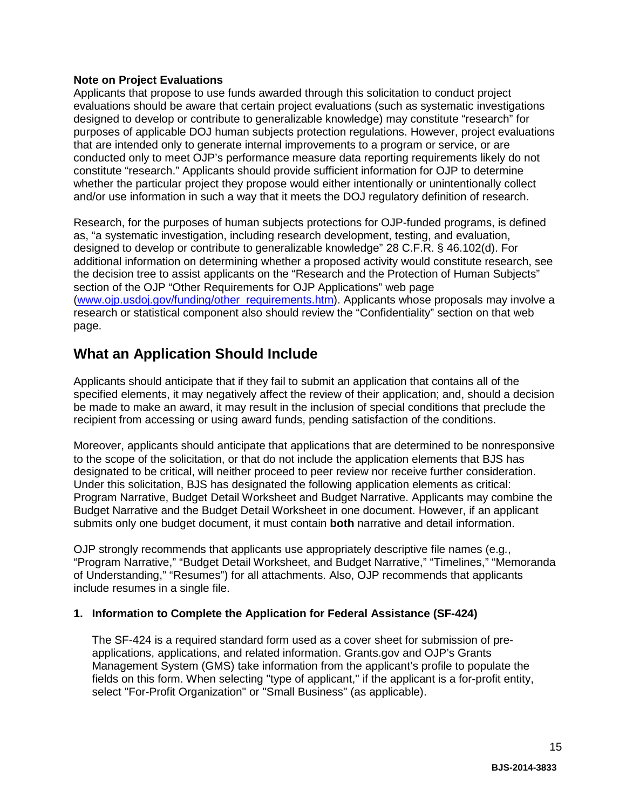#### **Note on Project Evaluations**

Applicants that propose to use funds awarded through this solicitation to conduct project evaluations should be aware that certain project evaluations (such as systematic investigations designed to develop or contribute to generalizable knowledge) may constitute "research" for purposes of applicable DOJ human subjects protection regulations. However, project evaluations that are intended only to generate internal improvements to a program or service, or are conducted only to meet OJP's performance measure data reporting requirements likely do not constitute "research." Applicants should provide sufficient information for OJP to determine whether the particular project they propose would either intentionally or unintentionally collect and/or use information in such a way that it meets the DOJ regulatory definition of research.

Research, for the purposes of human subjects protections for OJP-funded programs, is defined as, "a systematic investigation, including research development, testing, and evaluation, designed to develop or contribute to generalizable knowledge" 28 C.F.R. § 46.102(d). For additional information on determining whether a proposed activity would constitute research, see the decision tree to assist applicants on the "Research and the Protection of Human Subjects" section of the OJP "Other Requirements for OJP Applications" web page [\(www.ojp.usdoj.gov/funding/other\\_requirements.htm\)](http://www.ojp.usdoj.gov/funding/other_requirements.htm). Applicants whose proposals may involve a research or statistical component also should review the "Confidentiality" section on that web page.

### <span id="page-14-0"></span>**What an Application Should Include**

Applicants should anticipate that if they fail to submit an application that contains all of the specified elements, it may negatively affect the review of their application; and, should a decision be made to make an award, it may result in the inclusion of special conditions that preclude the recipient from accessing or using award funds, pending satisfaction of the conditions.

Moreover, applicants should anticipate that applications that are determined to be nonresponsive to the scope of the solicitation, or that do not include the application elements that BJS has designated to be critical, will neither proceed to peer review nor receive further consideration. Under this solicitation, BJS has designated the following application elements as critical: Program Narrative, Budget Detail Worksheet and Budget Narrative. Applicants may combine the Budget Narrative and the Budget Detail Worksheet in one document. However, if an applicant submits only one budget document, it must contain **both** narrative and detail information.

OJP strongly recommends that applicants use appropriately descriptive file names (e.g*.*, "Program Narrative," "Budget Detail Worksheet, and Budget Narrative," "Timelines," "Memoranda of Understanding," "Resumes") for all attachments. Also, OJP recommends that applicants include resumes in a single file.

#### <span id="page-14-1"></span>**1. Information to Complete the Application for Federal Assistance (SF-424)**

The SF-424 is a required standard form used as a cover sheet for submission of preapplications, applications, and related information. Grants.gov and OJP's Grants Management System (GMS) take information from the applicant's profile to populate the fields on this form. When selecting "type of applicant," if the applicant is a for-profit entity, select "For-Profit Organization" or "Small Business" (as applicable).

15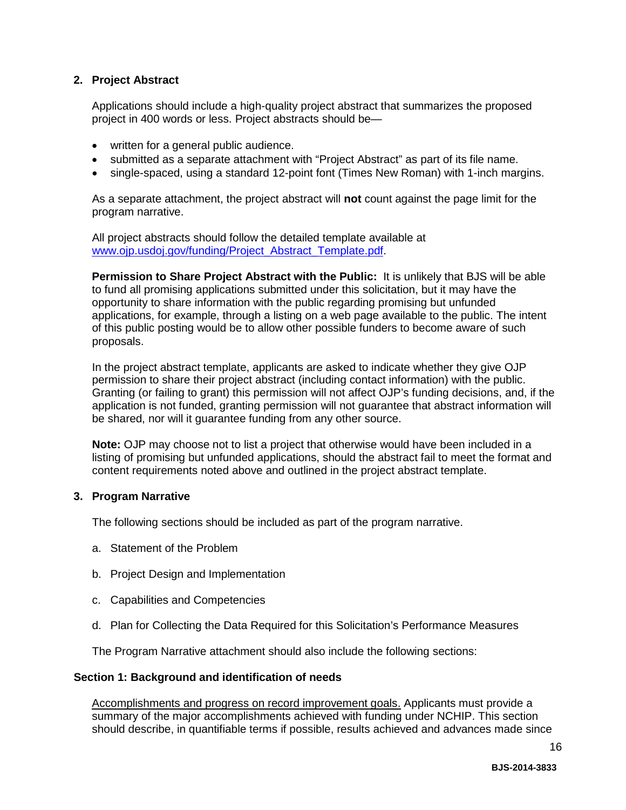#### **2. Project Abstract**

Applications should include a high-quality project abstract that summarizes the proposed project in 400 words or less. Project abstracts should be—

- written for a general public audience.
- submitted as a separate attachment with "Project Abstract" as part of its file name.
- single-spaced, using a standard 12-point font (Times New Roman) with 1-inch margins.

As a separate attachment, the project abstract will **not** count against the page limit for the program narrative.

All project abstracts should follow the detailed template available at www.oip.usdoi.gov/funding/Project\_Abstract\_Template.pdf

**Permission to Share Project Abstract with the Public:** It is unlikely that BJS will be able to fund all promising applications submitted under this solicitation, but it may have the opportunity to share information with the public regarding promising but unfunded applications, for example, through a listing on a web page available to the public. The intent of this public posting would be to allow other possible funders to become aware of such proposals.

In the project abstract template, applicants are asked to indicate whether they give OJP permission to share their project abstract (including contact information) with the public. Granting (or failing to grant) this permission will not affect OJP's funding decisions, and, if the application is not funded, granting permission will not guarantee that abstract information will be shared, nor will it guarantee funding from any other source.

**Note:** OJP may choose not to list a project that otherwise would have been included in a listing of promising but unfunded applications, should the abstract fail to meet the format and content requirements noted above and outlined in the project abstract template.

#### <span id="page-15-0"></span>**3. Program Narrative**

The following sections should be included as part of the program narrative.

- a. Statement of the Problem
- b. Project Design and Implementation
- c. Capabilities and Competencies
- d. Plan for Collecting the Data Required for this Solicitation's Performance Measures

The Program Narrative attachment should also include the following sections:

#### **Section 1: Background and identification of needs**

Accomplishments and progress on record improvement goals. Applicants must provide a summary of the major accomplishments achieved with funding under NCHIP. This section should describe, in quantifiable terms if possible, results achieved and advances made since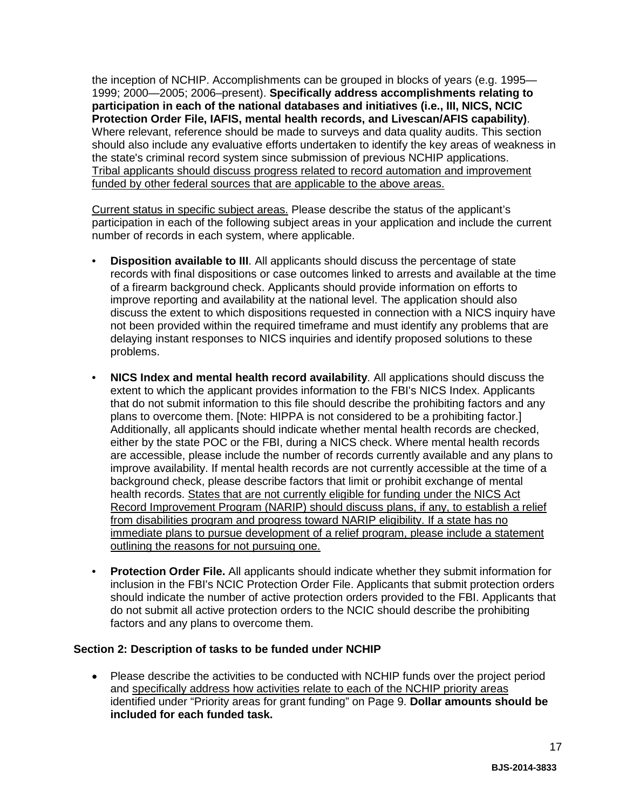the inception of NCHIP. Accomplishments can be grouped in blocks of years (e.g. 1995— 1999; 2000—2005; 2006–present). **Specifically address accomplishments relating to participation in each of the national databases and initiatives (i.e., III, NICS, NCIC Protection Order File, IAFIS, mental health records, and Livescan/AFIS capability)**. Where relevant, reference should be made to surveys and data quality audits. This section should also include any evaluative efforts undertaken to identify the key areas of weakness in the state's criminal record system since submission of previous NCHIP applications. Tribal applicants should discuss progress related to record automation and improvement funded by other federal sources that are applicable to the above areas.

Current status in specific subject areas. Please describe the status of the applicant's participation in each of the following subject areas in your application and include the current number of records in each system, where applicable.

- **Disposition available to III**. All applicants should discuss the percentage of state records with final dispositions or case outcomes linked to arrests and available at the time of a firearm background check. Applicants should provide information on efforts to improve reporting and availability at the national level. The application should also discuss the extent to which dispositions requested in connection with a NICS inquiry have not been provided within the required timeframe and must identify any problems that are delaying instant responses to NICS inquiries and identify proposed solutions to these problems.
- **NICS Index and mental health record availability**. All applications should discuss the extent to which the applicant provides information to the FBI's NICS Index. Applicants that do not submit information to this file should describe the prohibiting factors and any plans to overcome them. [Note: HIPPA is not considered to be a prohibiting factor.] Additionally, all applicants should indicate whether mental health records are checked, either by the state POC or the FBI, during a NICS check. Where mental health records are accessible, please include the number of records currently available and any plans to improve availability. If mental health records are not currently accessible at the time of a background check, please describe factors that limit or prohibit exchange of mental health records. States that are not currently eligible for funding under the NICS Act Record Improvement Program (NARIP) should discuss plans, if any, to establish a relief from disabilities program and progress toward NARIP eligibility. If a state has no immediate plans to pursue development of a relief program, please include a statement outlining the reasons for not pursuing one.
- **Protection Order File.** All applicants should indicate whether they submit information for inclusion in the FBI's NCIC Protection Order File. Applicants that submit protection orders should indicate the number of active protection orders provided to the FBI. Applicants that do not submit all active protection orders to the NCIC should describe the prohibiting factors and any plans to overcome them.

#### **Section 2: Description of tasks to be funded under NCHIP**

• Please describe the activities to be conducted with NCHIP funds over the project period and specifically address how activities relate to each of the NCHIP priority areas identified under "Priority areas for grant funding" on Page 9. **Dollar amounts should be included for each funded task.**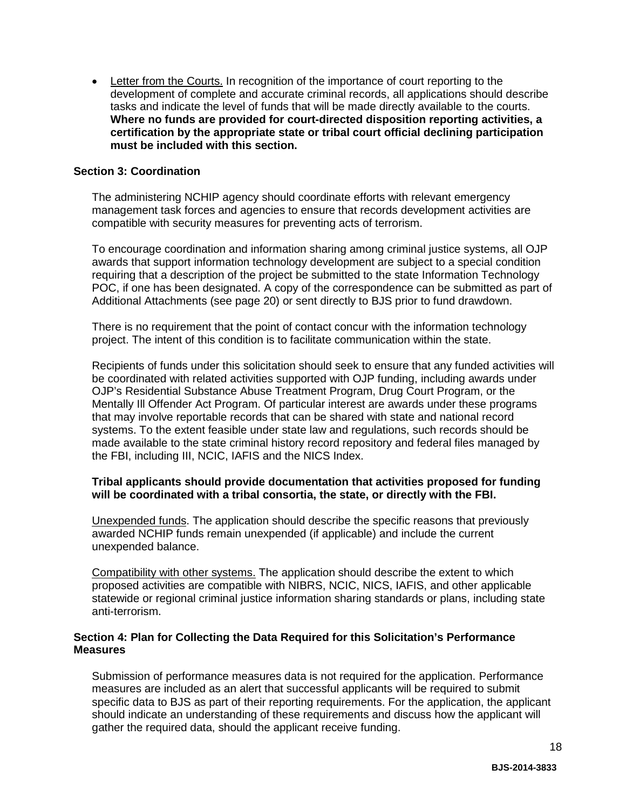• Letter from the Courts. In recognition of the importance of court reporting to the development of complete and accurate criminal records, all applications should describe tasks and indicate the level of funds that will be made directly available to the courts. **Where no funds are provided for court-directed disposition reporting activities, a certification by the appropriate state or tribal court official declining participation must be included with this section.** 

#### **Section 3: Coordination**

The administering NCHIP agency should coordinate efforts with relevant emergency management task forces and agencies to ensure that records development activities are compatible with security measures for preventing acts of terrorism.

To encourage coordination and information sharing among criminal justice systems, all OJP awards that support information technology development are subject to a special condition requiring that a description of the project be submitted to the state Information Technology POC, if one has been designated. A copy of the correspondence can be submitted as part of Additional Attachments (see page 20) or sent directly to BJS prior to fund drawdown.

There is no requirement that the point of contact concur with the information technology project. The intent of this condition is to facilitate communication within the state.

Recipients of funds under this solicitation should seek to ensure that any funded activities will be coordinated with related activities supported with OJP funding, including awards under OJP's Residential Substance Abuse Treatment Program, Drug Court Program, or the Mentally Ill Offender Act Program. Of particular interest are awards under these programs that may involve reportable records that can be shared with state and national record systems. To the extent feasible under state law and regulations, such records should be made available to the state criminal history record repository and federal files managed by the FBI, including III, NCIC, IAFIS and the NICS Index.

#### **Tribal applicants should provide documentation that activities proposed for funding will be coordinated with a tribal consortia, the state, or directly with the FBI.**

Unexpended funds. The application should describe the specific reasons that previously awarded NCHIP funds remain unexpended (if applicable) and include the current unexpended balance.

Compatibility with other systems. The application should describe the extent to which proposed activities are compatible with NIBRS, NCIC, NICS, IAFIS, and other applicable statewide or regional criminal justice information sharing standards or plans, including state anti-terrorism.

#### **Section 4: Plan for Collecting the Data Required for this Solicitation's Performance Measures**

Submission of performance measures data is not required for the application. Performance measures are included as an alert that successful applicants will be required to submit specific data to BJS as part of their reporting requirements. For the application, the applicant should indicate an understanding of these requirements and discuss how the applicant will gather the required data, should the applicant receive funding.

18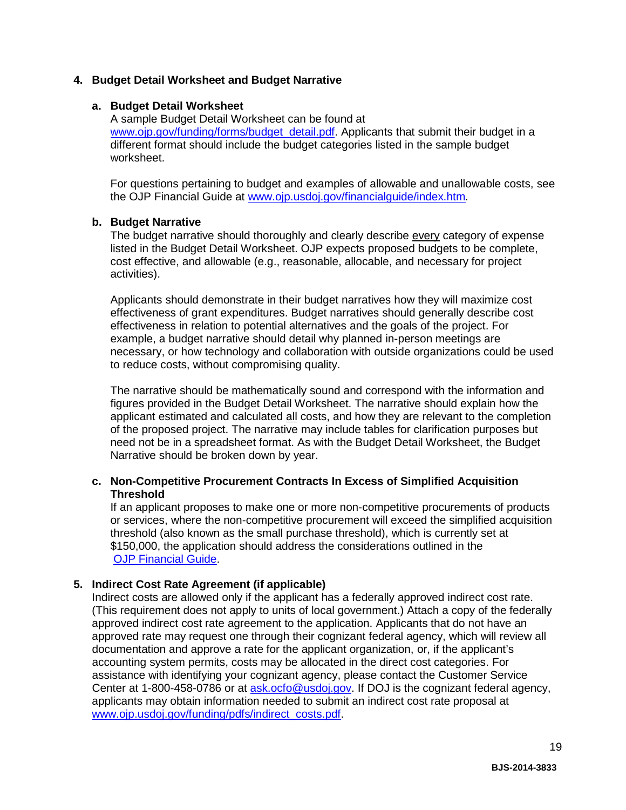#### <span id="page-18-0"></span>**4. Budget Detail Worksheet and Budget Narrative**

#### **a. Budget Detail Worksheet**

A sample Budget Detail Worksheet can be found at [www.ojp.gov/funding/forms/budget\\_detail.pdf.](http://www.ojp.gov/funding/forms/budget_detail.pdf) Applicants that submit their budget in a different format should include the budget categories listed in the sample budget worksheet.

For questions pertaining to budget and examples of allowable and unallowable costs, see the OJP Financial Guide at [www.ojp.usdoj.gov/financialguide/index.htm](http://www.ojp.usdoj.gov/financialguide/index.htm)*.*

#### **b. Budget Narrative**

The budget narrative should thoroughly and clearly describe every category of expense listed in the Budget Detail Worksheet. OJP expects proposed budgets to be complete, cost effective, and allowable (e.g., reasonable, allocable, and necessary for project activities).

Applicants should demonstrate in their budget narratives how they will maximize cost effectiveness of grant expenditures. Budget narratives should generally describe cost effectiveness in relation to potential alternatives and the goals of the project. For example, a budget narrative should detail why planned in-person meetings are necessary, or how technology and collaboration with outside organizations could be used to reduce costs, without compromising quality.

The narrative should be mathematically sound and correspond with the information and figures provided in the Budget Detail Worksheet. The narrative should explain how the applicant estimated and calculated all costs, and how they are relevant to the completion of the proposed project. The narrative may include tables for clarification purposes but need not be in a spreadsheet format. As with the Budget Detail Worksheet, the Budget Narrative should be broken down by year.

#### **c. Non-Competitive Procurement Contracts In Excess of Simplified Acquisition Threshold**

If an applicant proposes to make one or more non-competitive procurements of products or services, where the non-competitive procurement will exceed the simplified acquisition threshold (also known as the small purchase threshold), which is currently set at \$150,000, the application should address the considerations outlined in the [OJP Financial Guide.](http://www.ojp.usdoj.gov/financialguide/index.htm)

#### <span id="page-18-1"></span>**5. Indirect Cost Rate Agreement (if applicable)**

Indirect costs are allowed only if the applicant has a federally approved indirect cost rate. (This requirement does not apply to units of local government.) Attach a copy of the federally approved indirect cost rate agreement to the application. Applicants that do not have an approved rate may request one through their cognizant federal agency, which will review all documentation and approve a rate for the applicant organization, or, if the applicant's accounting system permits, costs may be allocated in the direct cost categories. For assistance with identifying your cognizant agency, please contact the Customer Service Center at 1-800-458-0786 or at [ask.ocfo@usdoj.gov.](mailto:ask.ocfo@usdoj.gov) If DOJ is the cognizant federal agency, applicants may obtain information needed to submit an indirect cost rate proposal at [www.ojp.usdoj.gov/funding/pdfs/indirect\\_costs.pdf.](http://www.ojp.usdoj.gov/funding/pdfs/indirect_costs.pdf)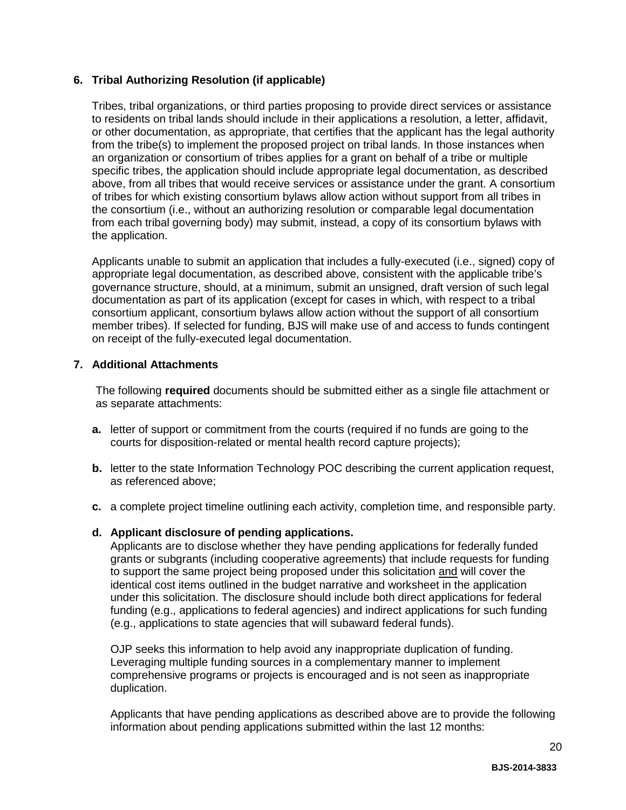#### <span id="page-19-0"></span>**6. Tribal Authorizing Resolution (if applicable)**

Tribes, tribal organizations, or third parties proposing to provide direct services or assistance to residents on tribal lands should include in their applications a resolution, a letter, affidavit, or other documentation, as appropriate, that certifies that the applicant has the legal authority from the tribe(s) to implement the proposed project on tribal lands. In those instances when an organization or consortium of tribes applies for a grant on behalf of a tribe or multiple specific tribes, the application should include appropriate legal documentation, as described above, from all tribes that would receive services or assistance under the grant. A consortium of tribes for which existing consortium bylaws allow action without support from all tribes in the consortium (i.e., without an authorizing resolution or comparable legal documentation from each tribal governing body) may submit, instead, a copy of its consortium bylaws with the application.

Applicants unable to submit an application that includes a fully-executed (i.e., signed) copy of appropriate legal documentation, as described above, consistent with the applicable tribe's governance structure, should, at a minimum, submit an unsigned, draft version of such legal documentation as part of its application (except for cases in which, with respect to a tribal consortium applicant, consortium bylaws allow action without the support of all consortium member tribes). If selected for funding, BJS will make use of and access to funds contingent on receipt of the fully-executed legal documentation.

#### <span id="page-19-1"></span>**7. Additional Attachments**

The following **required** documents should be submitted either as a single file attachment or as separate attachments:

- **a.** letter of support or commitment from the courts (required if no funds are going to the courts for disposition-related or mental health record capture projects);
- **b.** letter to the state Information Technology POC describing the current application request, as referenced above;
- **c.** a complete project timeline outlining each activity, completion time, and responsible party.

#### **d. Applicant disclosure of pending applications.**

Applicants are to disclose whether they have pending applications for federally funded grants or subgrants (including cooperative agreements) that include requests for funding to support the same project being proposed under this solicitation and will cover the identical cost items outlined in the budget narrative and worksheet in the application under this solicitation. The disclosure should include both direct applications for federal funding (e.g., applications to federal agencies) and indirect applications for such funding (e.g., applications to state agencies that will subaward federal funds).

OJP seeks this information to help avoid any inappropriate duplication of funding. Leveraging multiple funding sources in a complementary manner to implement comprehensive programs or projects is encouraged and is not seen as inappropriate duplication.

Applicants that have pending applications as described above are to provide the following information about pending applications submitted within the last 12 months: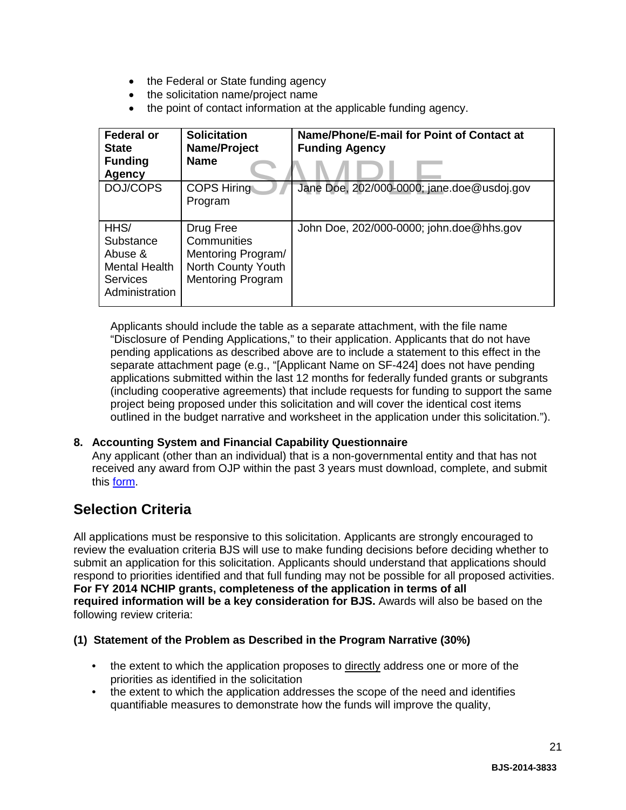- the Federal or State funding agency
- the solicitation name/project name
- the point of contact information at the applicable funding agency.

| <b>Federal or</b><br><b>State</b><br><b>Funding</b><br><b>Agency</b>        | <b>Solicitation</b><br>Name/Project<br><b>Name</b>                                               | Name/Phone/E-mail for Point of Contact at<br><b>Funding Agency</b> |
|-----------------------------------------------------------------------------|--------------------------------------------------------------------------------------------------|--------------------------------------------------------------------|
| DOJ/COPS                                                                    | <b>COPS Hiring</b><br>Program                                                                    | Jane Doe, 202/000-0000; jane.doe@usdoj.gov                         |
| HHS/<br>Substance<br>Abuse &<br>Mental Health<br>Services<br>Administration | Drug Free<br>Communities<br>Mentoring Program/<br>North County Youth<br><b>Mentoring Program</b> | John Doe, 202/000-0000; john.doe@hhs.gov                           |

Applicants should include the table as a separate attachment, with the file name "Disclosure of Pending Applications," to their application. Applicants that do not have pending applications as described above are to include a statement to this effect in the separate attachment page (e.g., "[Applicant Name on SF-424] does not have pending applications submitted within the last 12 months for federally funded grants or subgrants (including cooperative agreements) that include requests for funding to support the same project being proposed under this solicitation and will cover the identical cost items outlined in the budget narrative and worksheet in the application under this solicitation.").

#### <span id="page-20-0"></span>**8. Accounting System and Financial Capability Questionnaire**

Any applicant (other than an individual) that is a non-governmental entity and that has not received any award from OJP within the past 3 years must download, complete, and submit this [form.](http://www.ojp.usdoj.gov/funding/forms/financial_capability.pdf)

### <span id="page-20-1"></span>**Selection Criteria**

All applications must be responsive to this solicitation. Applicants are strongly encouraged to review the evaluation criteria BJS will use to make funding decisions before deciding whether to submit an application for this solicitation. Applicants should understand that applications should respond to priorities identified and that full funding may not be possible for all proposed activities. **For FY 2014 NCHIP grants, completeness of the application in terms of all required information will be a key consideration for BJS.** Awards will also be based on the following review criteria:

#### **(1) Statement of the Problem as Described in the Program Narrative (30%)**

- the extent to which the application proposes to directly address one or more of the priorities as identified in the solicitation
- the extent to which the application addresses the scope of the need and identifies quantifiable measures to demonstrate how the funds will improve the quality,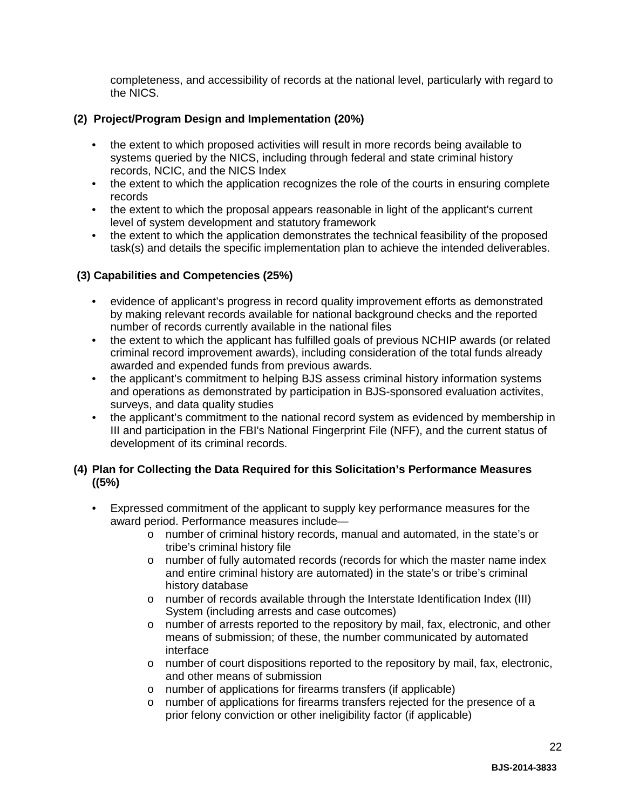completeness, and accessibility of records at the national level, particularly with regard to the NICS.

#### **(2) Project/Program Design and Implementation (20%)**

- the extent to which proposed activities will result in more records being available to systems queried by the NICS, including through federal and state criminal history records, NCIC, and the NICS Index
- the extent to which the application recognizes the role of the courts in ensuring complete records
- the extent to which the proposal appears reasonable in light of the applicant's current level of system development and statutory framework
- the extent to which the application demonstrates the technical feasibility of the proposed task(s) and details the specific implementation plan to achieve the intended deliverables.

#### **(3) Capabilities and Competencies (25%)**

- evidence of applicant's progress in record quality improvement efforts as demonstrated by making relevant records available for national background checks and the reported number of records currently available in the national files
- the extent to which the applicant has fulfilled goals of previous NCHIP awards (or related criminal record improvement awards), including consideration of the total funds already awarded and expended funds from previous awards.
- the applicant's commitment to helping BJS assess criminal history information systems and operations as demonstrated by participation in BJS-sponsored evaluation activites, surveys, and data quality studies
- the applicant's commitment to the national record system as evidenced by membership in III and participation in the FBI's National Fingerprint File (NFF), and the current status of development of its criminal records.

#### **(4) Plan for Collecting the Data Required for this Solicitation's Performance Measures ((5%)**

- Expressed commitment of the applicant to supply key performance measures for the award period. Performance measures include
	- o number of criminal history records, manual and automated, in the state's or tribe's criminal history file
	- o number of fully automated records (records for which the master name index and entire criminal history are automated) in the state's or tribe's criminal history database
	- o number of records available through the Interstate Identification Index (III) System (including arrests and case outcomes)
	- o number of arrests reported to the repository by mail, fax, electronic, and other means of submission; of these, the number communicated by automated interface
	- o number of court dispositions reported to the repository by mail, fax, electronic, and other means of submission
	- o number of applications for firearms transfers (if applicable)<br>o number of applications for firearms transfers rejected for the
	- number of applications for firearms transfers rejected for the presence of a prior felony conviction or other ineligibility factor (if applicable)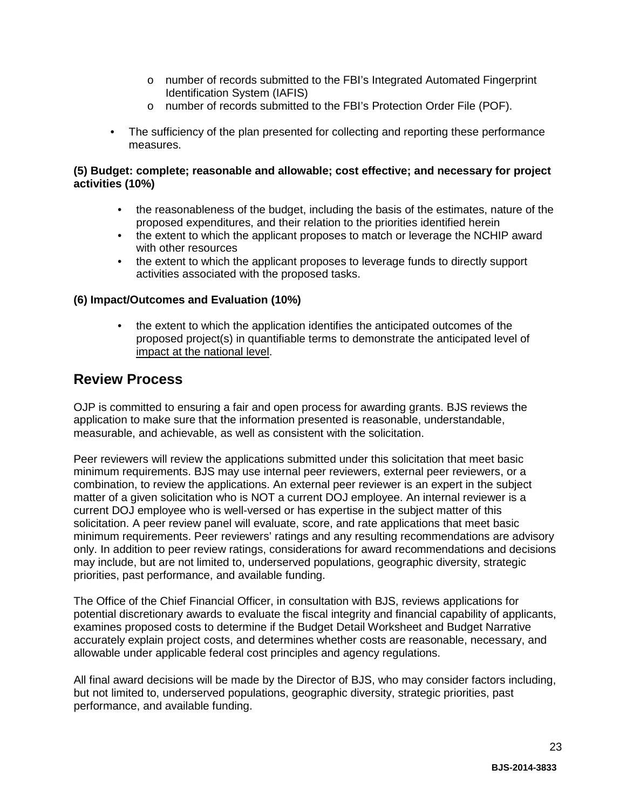- o number of records submitted to the FBI's Integrated Automated Fingerprint Identification System (IAFIS)
- o number of records submitted to the FBI's Protection Order File (POF).
- The sufficiency of the plan presented for collecting and reporting these performance measures.

#### **(5) Budget: complete; reasonable and allowable; cost effective; and necessary for project activities (10%)**

- the reasonableness of the budget, including the basis of the estimates, nature of the proposed expenditures, and their relation to the priorities identified herein
- the extent to which the applicant proposes to match or leverage the NCHIP award with other resources
- the extent to which the applicant proposes to leverage funds to directly support activities associated with the proposed tasks.

#### **(6) Impact/Outcomes and Evaluation (10%)**

• the extent to which the application identifies the anticipated outcomes of the proposed project(s) in quantifiable terms to demonstrate the anticipated level of impact at the national level.

### <span id="page-22-0"></span>**Review Process**

OJP is committed to ensuring a fair and open process for awarding grants. BJS reviews the application to make sure that the information presented is reasonable, understandable, measurable, and achievable, as well as consistent with the solicitation.

Peer reviewers will review the applications submitted under this solicitation that meet basic minimum requirements. BJS may use internal peer reviewers, external peer reviewers, or a combination, to review the applications. An external peer reviewer is an expert in the subject matter of a given solicitation who is NOT a current DOJ employee. An internal reviewer is a current DOJ employee who is well-versed or has expertise in the subject matter of this solicitation. A peer review panel will evaluate, score, and rate applications that meet basic minimum requirements. Peer reviewers' ratings and any resulting recommendations are advisory only. In addition to peer review ratings, considerations for award recommendations and decisions may include, but are not limited to, underserved populations, geographic diversity, strategic priorities, past performance, and available funding.

The Office of the Chief Financial Officer, in consultation with BJS, reviews applications for potential discretionary awards to evaluate the fiscal integrity and financial capability of applicants, examines proposed costs to determine if the Budget Detail Worksheet and Budget Narrative accurately explain project costs, and determines whether costs are reasonable, necessary, and allowable under applicable federal cost principles and agency regulations.

All final award decisions will be made by the Director of BJS, who may consider factors including, but not limited to, underserved populations, geographic diversity, strategic priorities, past performance, and available funding.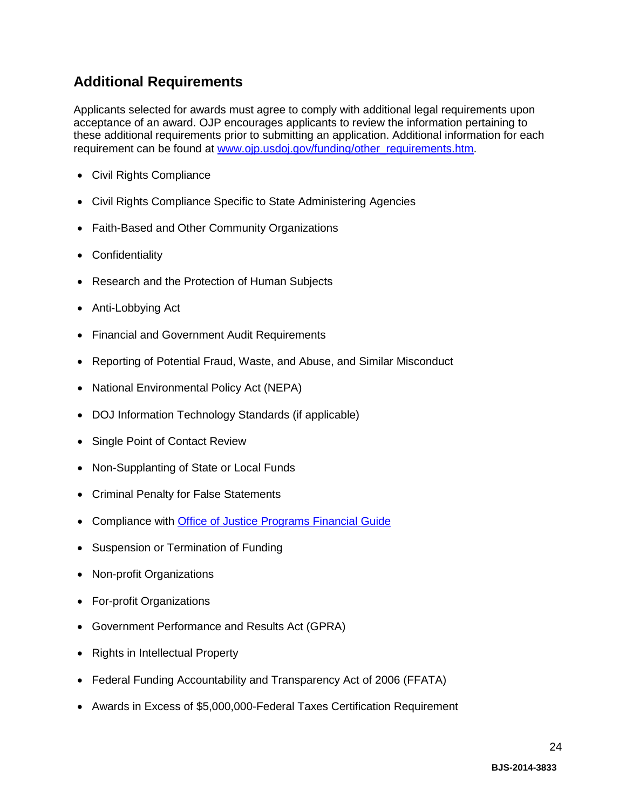### <span id="page-23-0"></span>**Additional Requirements**

Applicants selected for awards must agree to comply with additional legal requirements upon acceptance of an award. OJP encourages applicants to review the information pertaining to these additional requirements prior to submitting an application. Additional information for each requirement can be found at [www.ojp.usdoj.gov/funding/other\\_requirements.htm.](http://www.ojp.usdoj.gov/funding/other_requirements.htm)

- [Civil Rights Compliance](http://www.ojp.usdoj.gov/about/ocr/statutes.htm)
- Civil Rights Compliance Specific to State Administering Agencies
- Faith-Based and Other Community Organizations
- Confidentiality
- Research and the Protection of Human Subjects
- Anti-Lobbying Act
- Financial and Government Audit Requirements
- Reporting of Potential Fraud, Waste, and Abuse, and Similar Misconduct
- National Environmental Policy Act (NEPA)
- DOJ Information Technology Standards (if applicable)
- Single Point of Contact Review
- Non-Supplanting of State or Local Funds
- Criminal Penalty for False Statements
- Compliance with [Office of Justice Programs Financial Guide](http://www.ojp.usdoj.gov/financialguide/index.htm)
- Suspension or Termination of Funding
- Non-profit Organizations
- For-profit Organizations
- Government Performance and Results Act (GPRA)
- Rights in Intellectual Property
- Federal Funding Accountability and Transparency Act of 2006 (FFATA)
- Awards in Excess of \$5,000,000-Federal Taxes Certification Requirement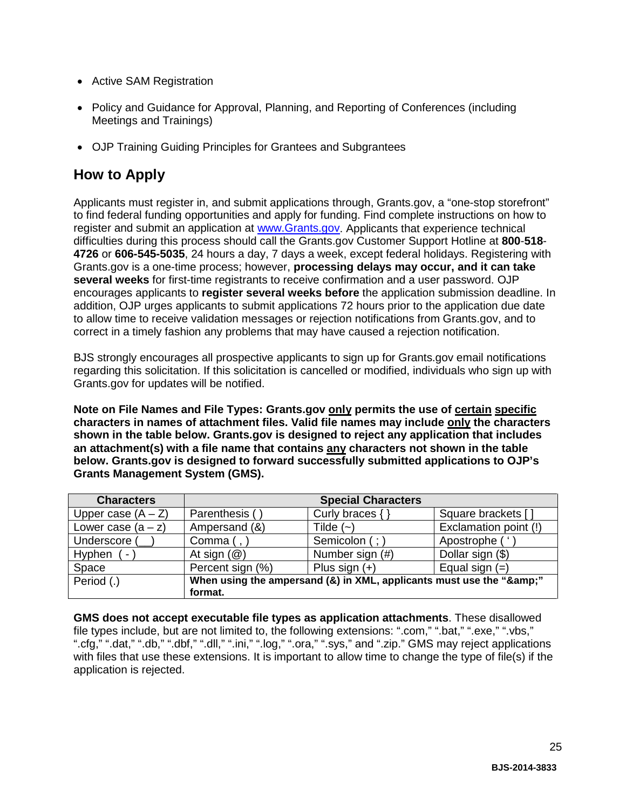- Active SAM Registration
- Policy and Guidance for Approval, Planning, and Reporting of Conferences (including Meetings and Trainings)
- OJP Training Guiding Principles for Grantees and Subgrantees

### <span id="page-24-0"></span>**How to Apply**

Applicants must register in, and submit applications through, Grants.gov, a "one-stop storefront" to find federal funding opportunities and apply for funding. Find complete instructions on how to register and submit an application at [www.Grants.gov.](http://www.grants.gov/) Applicants that experience technical difficulties during this process should call the Grants.gov Customer Support Hotline at **800**-**518**- **4726** or **606-545-5035**, 24 hours a day, 7 days a week, except federal holidays. Registering with Grants.gov is a one-time process; however, **processing delays may occur, and it can take several weeks** for first-time registrants to receive confirmation and a user password. OJP encourages applicants to **register several weeks before** the application submission deadline. In addition, OJP urges applicants to submit applications 72 hours prior to the application due date to allow time to receive validation messages or rejection notifications from Grants.gov, and to correct in a timely fashion any problems that may have caused a rejection notification.

BJS strongly encourages all prospective applicants to sign up for Grants.gov email notifications regarding this solicitation. If this solicitation is cancelled or modified, individuals who sign up with Grants.gov for updates will be notified.

**Note on File Names and File Types: Grants.gov only permits the use of certain specific characters in names of attachment files. Valid file names may include only the characters shown in the table below. Grants.gov is designed to reject any application that includes an attachment(s) with a file name that contains any characters not shown in the table below. Grants.gov is designed to forward successfully submitted applications to OJP's Grants Management System (GMS).**

| <b>Characters</b>    | <b>Special Characters</b>                                        |                     |                       |
|----------------------|------------------------------------------------------------------|---------------------|-----------------------|
| Upper case $(A - Z)$ | Parenthesis (                                                    | Curly braces $\{\}$ | Square brackets []    |
| Lower case $(a - z)$ | Ampersand (&)                                                    | Tilde $(-)$         | Exclamation point (!) |
| Underscore (         | Comma $($ , $)$                                                  | Semicolon (; )      | Apostrophe (          |
| Hyphen<br>$\sim$     | At sign $(\mathcal{Q})$                                          | Number sign (#)     | Dollar sign (\$)      |
| Space                | Percent sign (%)                                                 | Plus sign $(+)$     | Equal sign $(=)$      |
| Period (.)           | When using the ampersand (&) in XML, applicants must use the "&" |                     |                       |
|                      | format.                                                          |                     |                       |

**GMS does not accept executable file types as application attachments**. These disallowed file types include, but are not limited to, the following extensions: ".com," ".bat," ".exe," ".vbs," ".cfg," ".dat," ".db," ".dbf," ".dll," ".ini," ".log," ".ora," ".sys," and ".zip." GMS may reject applications with files that use these extensions. It is important to allow time to change the type of file(s) if the application is rejected.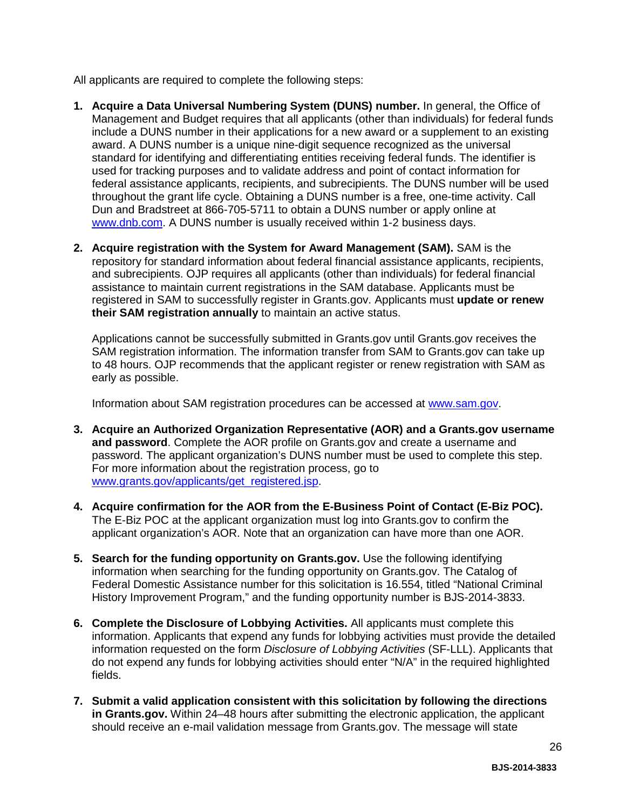All applicants are required to complete the following steps:

- **1. Acquire a Data Universal Numbering System (DUNS) number.** In general, the Office of Management and Budget requires that all applicants (other than individuals) for federal funds include a DUNS number in their applications for a new award or a supplement to an existing award. A DUNS number is a unique nine-digit sequence recognized as the universal standard for identifying and differentiating entities receiving federal funds. The identifier is used for tracking purposes and to validate address and point of contact information for federal assistance applicants, recipients, and subrecipients. The DUNS number will be used throughout the grant life cycle. Obtaining a DUNS number is a free, one-time activity. Call Dun and Bradstreet at 866-705-5711 to obtain a DUNS number or apply online at [www.dnb.com.](http://www.dnb.com/) A DUNS number is usually received within 1-2 business days.
- **2. Acquire registration with the System for Award Management (SAM).** SAM is the repository for standard information about federal financial assistance applicants, recipients, and subrecipients. OJP requires all applicants (other than individuals) for federal financial assistance to maintain current registrations in the SAM database. Applicants must be registered in SAM to successfully register in Grants.gov. Applicants must **update or renew their SAM registration annually** to maintain an active status.

Applications cannot be successfully submitted in Grants.gov until Grants.gov receives the SAM registration information. The information transfer from SAM to Grants.gov can take up to 48 hours. OJP recommends that the applicant register or renew registration with SAM as early as possible.

Information about SAM registration procedures can be accessed at [www.sam.gov.](https://www.sam.gov/portal/public/SAM/?portal:componentId=1f834b82-3fed-4eb3-a1f8-ea1f226a7955&portal:type=action&interactionstate=JBPNS_rO0ABXc0ABBfanNmQnJpZGdlVmlld0lkAAAAAQATL2pzZi9uYXZpZ2F0aW9uLmpzcAAHX19FT0ZfXw**)

- **3. Acquire an Authorized Organization Representative (AOR) and a Grants.gov username and password**. Complete the AOR profile on Grants.gov and create a username and password. The applicant organization's DUNS number must be used to complete this step. For more information about the registration process, go to [www.grants.gov/applicants/get\\_registered.jsp.](http://www.grants.gov/applicants/get_registered.jsp)
- **4. Acquire confirmation for the AOR from the E-Business Point of Contact (E-Biz POC).**  The E-Biz POC at the applicant organization must log into Grants.gov to confirm the applicant organization's AOR. Note that an organization can have more than one AOR.
- **5. Search for the funding opportunity on Grants.gov.** Use the following identifying information when searching for the funding opportunity on Grants.gov. The Catalog of Federal Domestic Assistance number for this solicitation is 16.554, titled "National Criminal History Improvement Program," and the funding opportunity number is BJS-2014-3833.
- **6. Complete the Disclosure of Lobbying Activities.** All applicants must complete this information. Applicants that expend any funds for lobbying activities must provide the detailed information requested on the form *Disclosure of Lobbying Activities* (SF-LLL). Applicants that do not expend any funds for lobbying activities should enter "N/A" in the required highlighted fields.
- **7. Submit a valid application consistent with this solicitation by following the directions in Grants.gov.** Within 24–48 hours after submitting the electronic application, the applicant should receive an e-mail validation message from Grants.gov. The message will state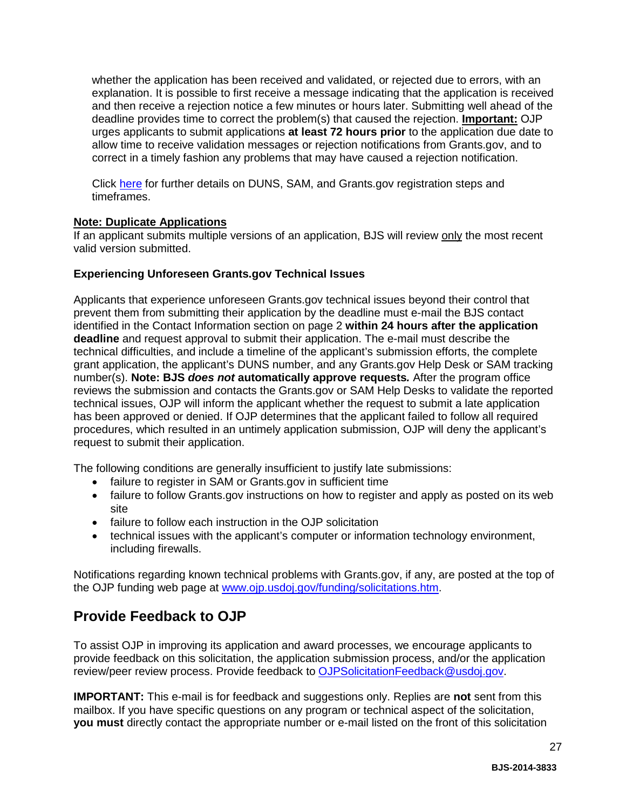whether the application has been received and validated, or rejected due to errors, with an explanation. It is possible to first receive a message indicating that the application is received and then receive a rejection notice a few minutes or hours later. Submitting well ahead of the deadline provides time to correct the problem(s) that caused the rejection. **Important:** OJP urges applicants to submit applications **at least 72 hours prior** to the application due date to allow time to receive validation messages or rejection notifications from Grants.gov, and to correct in a timely fashion any problems that may have caused a rejection notification.

Click [here](http://www.grants.gov/web/grants/applicants/organization-registration.html) for further details on DUNS, SAM, and Grants.gov registration steps and timeframes.

#### **Note: Duplicate Applications**

If an applicant submits multiple versions of an application, BJS will review only the most recent valid version submitted.

#### **Experiencing Unforeseen Grants.gov Technical Issues**

Applicants that experience unforeseen Grants.gov technical issues beyond their control that prevent them from submitting their application by the deadline must e-mail the BJS contact identified in the Contact Information section on page 2 **within 24 hours after the application deadline** and request approval to submit their application. The e-mail must describe the technical difficulties, and include a timeline of the applicant's submission efforts, the complete grant application, the applicant's DUNS number, and any Grants.gov Help Desk or SAM tracking number(s). **Note: BJS** *does not* **automatically approve requests***.* After the program office reviews the submission and contacts the Grants.gov or SAM Help Desks to validate the reported technical issues, OJP will inform the applicant whether the request to submit a late application has been approved or denied. If OJP determines that the applicant failed to follow all required procedures, which resulted in an untimely application submission, OJP will deny the applicant's request to submit their application.

The following conditions are generally insufficient to justify late submissions:

- failure to register in SAM or Grants.gov in sufficient time
- failure to follow Grants.gov instructions on how to register and apply as posted on its web site
- failure to follow each instruction in the OJP solicitation
- technical issues with the applicant's computer or information technology environment, including firewalls.

Notifications regarding known technical problems with Grants.gov, if any, are posted at the top of the OJP funding web page at [www.ojp.usdoj.gov/funding/solicitations.htm.](http://www.ojp.gov/funding/solicitations.htm)

### <span id="page-26-0"></span>**Provide Feedback to OJP**

To assist OJP in improving its application and award processes, we encourage applicants to provide feedback on this solicitation, the application submission process, and/or the application review/peer review process. Provide feedback to [OJPSolicitationFeedback@usdoj.gov.](mailto:OJPSolicitationFeedback@usdoj.gov)

**IMPORTANT:** This e-mail is for feedback and suggestions only. Replies are **not** sent from this mailbox. If you have specific questions on any program or technical aspect of the solicitation, **you must** directly contact the appropriate number or e-mail listed on the front of this solicitation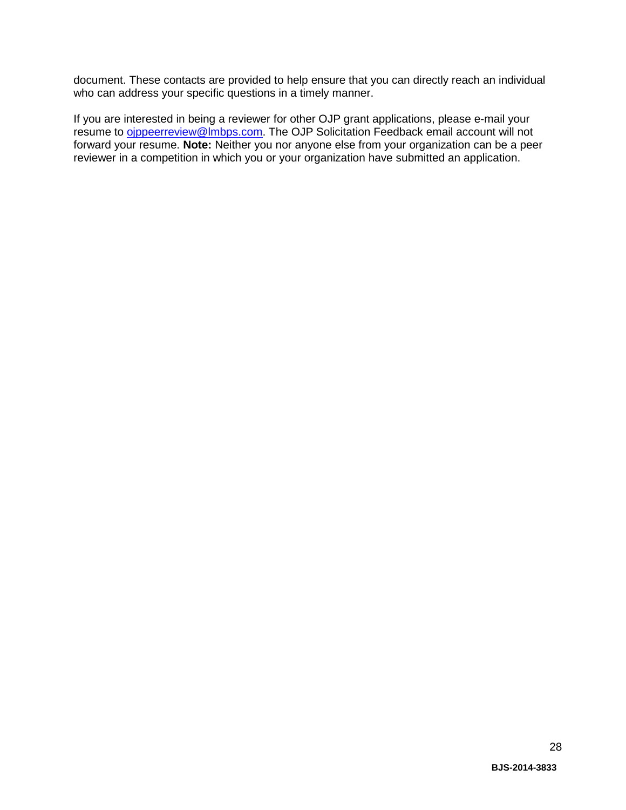document. These contacts are provided to help ensure that you can directly reach an individual who can address your specific questions in a timely manner.

If you are interested in being a reviewer for other OJP grant applications, please e-mail your resume to **ojppeerreview@lmbps.com**. The OJP Solicitation Feedback email account will not forward your resume. **Note:** Neither you nor anyone else from your organization can be a peer reviewer in a competition in which you or your organization have submitted an application.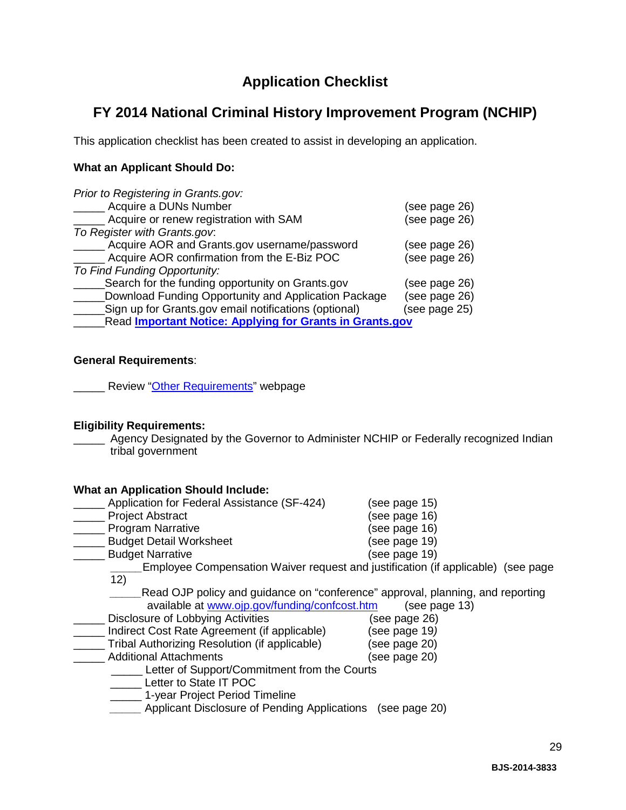### **Application Checklist**

### <span id="page-28-0"></span>**FY 2014 National Criminal History Improvement Program (NCHIP)**

This application checklist has been created to assist in developing an application.

#### **What an Applicant Should Do:**

| Prior to Registering in Grants.gov:                             |               |  |
|-----------------------------------------------------------------|---------------|--|
| Acquire a DUNs Number                                           | (see page 26) |  |
| Acquire or renew registration with SAM                          | (see page 26) |  |
| To Register with Grants.gov.                                    |               |  |
| Acquire AOR and Grants.gov username/password                    | (see page 26) |  |
| Acquire AOR confirmation from the E-Biz POC                     | (see page 26) |  |
| To Find Funding Opportunity:                                    |               |  |
| Search for the funding opportunity on Grants.gov                | (see page 26) |  |
| Download Funding Opportunity and Application Package            | (see page 26) |  |
| Sign up for Grants.gov email notifications (optional)           | (see page 25) |  |
| <b>Read Important Notice: Applying for Grants in Grants.gov</b> |               |  |

#### **General Requirements**:

**Neview** ["Other Requirements"](http://www.ojp.usdoj.gov/funding/other_requirements.htm) webpage

#### **Eligibility Requirements:**

Agency Designated by the Governor to Administer NCHIP or Federally recognized Indian tribal government

#### **What an Application Should Include:**

| Application for Federal Assistance (SF-424)   | (see page 15)                                                                    |
|-----------------------------------------------|----------------------------------------------------------------------------------|
| <b>Project Abstract</b>                       | see page 16)                                                                     |
| <b>Program Narrative</b>                      | (see page 16)                                                                    |
| <b>Budget Detail Worksheet</b>                | (see page 19)                                                                    |
| <b>Budget Narrative</b>                       | (see page 19)                                                                    |
|                                               | Employee Compensation Waiver request and justification (if applicable) (see page |
| 12)                                           |                                                                                  |
|                                               | Read OJP policy and guidance on "conference" approval, planning, and reporting   |
| available at www.ojp.gov/funding/confcost.htm | (see page 13)                                                                    |
| Disclosure of Lobbying Activities             | (see page 26)                                                                    |
| Indirect Cost Rate Agreement (if applicable)  | (see page 19)                                                                    |
| Tribal Authorizing Resolution (if applicable) | (see page 20)                                                                    |
| <b>Additional Attachments</b>                 | (see page 20)                                                                    |
| Letter of Support/Commitment from the Courts  |                                                                                  |
| Letter to State IT POC                        |                                                                                  |
| 1-year Project Period Timeline                |                                                                                  |
| Applicant Disclosure of Pending Applications  | (see page 20)                                                                    |